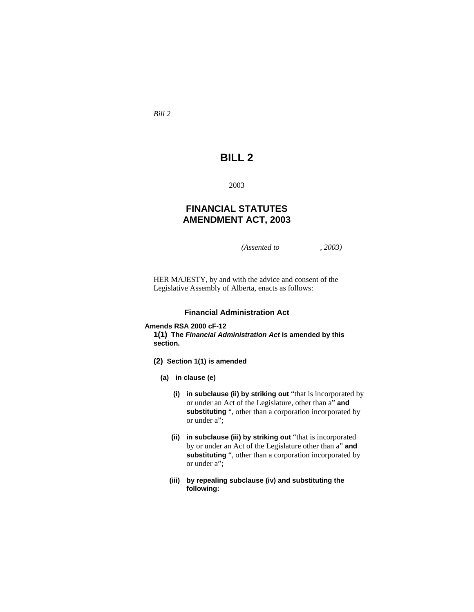*Bill 2* 

# **BILL 2**

2003

# **FINANCIAL STATUTES AMENDMENT ACT, 2003**

*(Assented to , 2003)* 

HER MAJESTY, by and with the advice and consent of the Legislative Assembly of Alberta, enacts as follows:

### **Financial Administration Act**

### **Amends RSA 2000 cF-12**

**1(1) The** *Financial Administration Act* **is amended by this section.** 

- **(2) Section 1(1) is amended**
	- **(a) in clause (e)**
		- **(i) in subclause (ii) by striking out** "that is incorporated by or under an Act of the Legislature, other than a" **and substituting** ", other than a corporation incorporated by or under a";
		- **(ii) in subclause (iii) by striking out** "that is incorporated by or under an Act of the Legislature other than a" **and substituting** ", other than a corporation incorporated by or under a";
		- **(iii) by repealing subclause (iv) and substituting the following:**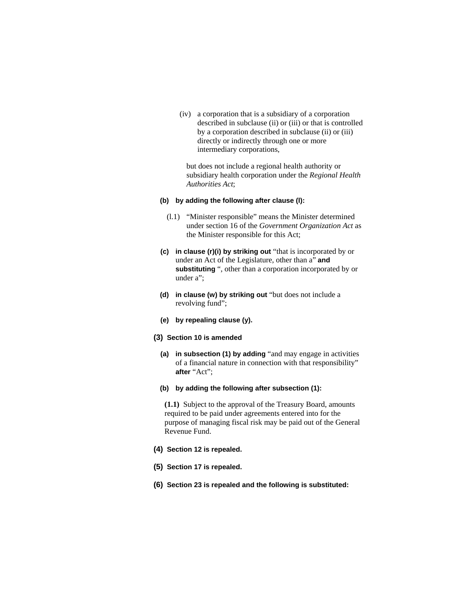(iv) a corporation that is a subsidiary of a corporation described in subclause (ii) or (iii) or that is controlled by a corporation described in subclause (ii) or (iii) directly or indirectly through one or more intermediary corporations,

 but does not include a regional health authority or subsidiary health corporation under the *Regional Health Authorities Act*;

### **(b) by adding the following after clause (l):**

- (l.1) "Minister responsible" means the Minister determined under section 16 of the *Government Organization Act* as the Minister responsible for this Act;
- **(c) in clause (r)(i) by striking out** "that is incorporated by or under an Act of the Legislature, other than a" **and substituting** ", other than a corporation incorporated by or under a":
- **(d) in clause (w) by striking out** "but does not include a revolving fund";
- **(e) by repealing clause (y).**
- **(3) Section 10 is amended**
	- **(a) in subsection (1) by adding** "and may engage in activities of a financial nature in connection with that responsibility" **after** "Act";
	- **(b) by adding the following after subsection (1):**

**(1.1)** Subject to the approval of the Treasury Board, amounts required to be paid under agreements entered into for the purpose of managing fiscal risk may be paid out of the General Revenue Fund.

- **(4) Section 12 is repealed.**
- **(5) Section 17 is repealed.**
- **(6) Section 23 is repealed and the following is substituted:**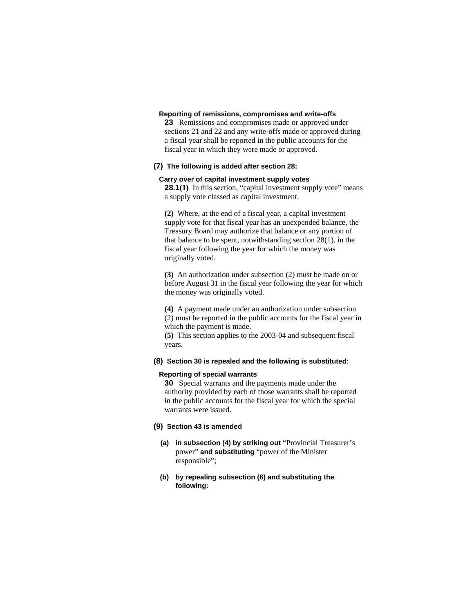### **Reporting of remissions, compromises and write-offs**

**23** Remissions and compromises made or approved under sections 21 and 22 and any write-offs made or approved during a fiscal year shall be reported in the public accounts for the fiscal year in which they were made or approved.

# **(7) The following is added after section 28:**

### **Carry over of capital investment supply votes**

**28.1(1)** In this section, "capital investment supply vote" means a supply vote classed as capital investment.

**(2)** Where, at the end of a fiscal year, a capital investment supply vote for that fiscal year has an unexpended balance, the Treasury Board may authorize that balance or any portion of that balance to be spent, notwithstanding section 28(1), in the fiscal year following the year for which the money was originally voted.

**(3)** An authorization under subsection (2) must be made on or before August 31 in the fiscal year following the year for which the money was originally voted.

**(4)** A payment made under an authorization under subsection (2) must be reported in the public accounts for the fiscal year in which the payment is made.

**(5)** This section applies to the 2003-04 and subsequent fiscal years.

# **(8) Section 30 is repealed and the following is substituted:**

### **Reporting of special warrants**

**30** Special warrants and the payments made under the authority provided by each of those warrants shall be reported in the public accounts for the fiscal year for which the special warrants were issued.

#### **(9) Section 43 is amended**

- **(a) in subsection (4) by striking out** "Provincial Treasurer's power" **and substituting** "power of the Minister responsible";
- **(b) by repealing subsection (6) and substituting the following:**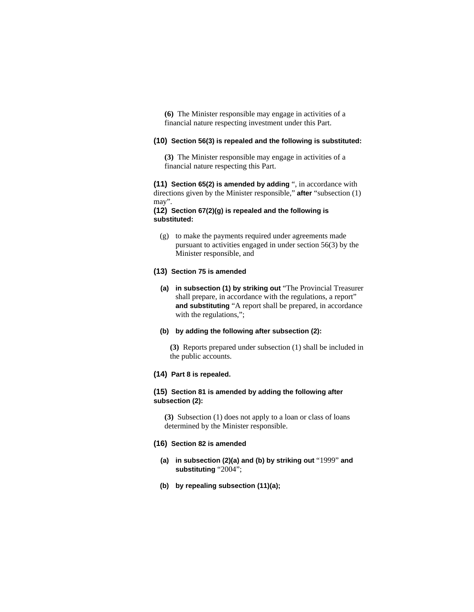**(6)** The Minister responsible may engage in activities of a financial nature respecting investment under this Part.

### **(10) Section 56(3) is repealed and the following is substituted:**

**(3)** The Minister responsible may engage in activities of a financial nature respecting this Part.

**(11) Section 65(2) is amended by adding** ", in accordance with directions given by the Minister responsible," **after** "subsection (1) may".

### **(12) Section 67(2)(g) is repealed and the following is substituted:**

 (g) to make the payments required under agreements made pursuant to activities engaged in under section 56(3) by the Minister responsible, and

# **(13) Section 75 is amended**

**(a) in subsection (1) by striking out** "The Provincial Treasurer shall prepare, in accordance with the regulations, a report" **and substituting** "A report shall be prepared, in accordance with the regulations,";

# **(b) by adding the following after subsection (2):**

**(3)** Reports prepared under subsection (1) shall be included in the public accounts.

# **(14) Part 8 is repealed.**

### **(15) Section 81 is amended by adding the following after subsection (2):**

**(3)** Subsection (1) does not apply to a loan or class of loans determined by the Minister responsible.

### **(16) Section 82 is amended**

- **(a) in subsection (2)(a) and (b) by striking out** "1999" **and substituting** "2004";
- **(b) by repealing subsection (11)(a);**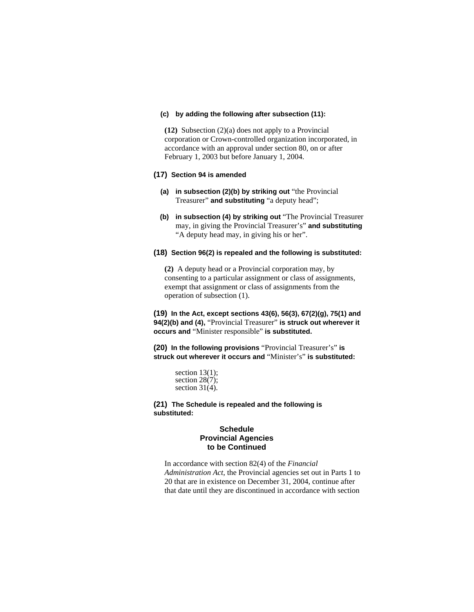### **(c) by adding the following after subsection (11):**

**(12)** Subsection (2)(a) does not apply to a Provincial corporation or Crown-controlled organization incorporated, in accordance with an approval under section 80, on or after February 1, 2003 but before January 1, 2004.

#### **(17) Section 94 is amended**

- **(a) in subsection (2)(b) by striking out** "the Provincial Treasurer" **and substituting** "a deputy head";
- **(b) in subsection (4) by striking out** "The Provincial Treasurer may, in giving the Provincial Treasurer's" **and substituting**  "A deputy head may, in giving his or her".

### **(18) Section 96(2) is repealed and the following is substituted:**

**(2)** A deputy head or a Provincial corporation may, by consenting to a particular assignment or class of assignments, exempt that assignment or class of assignments from the operation of subsection (1).

**(19) In the Act, except sections 43(6), 56(3), 67(2)(g), 75(1) and 94(2)(b) and (4),** "Provincial Treasurer" **is struck out wherever it occurs and** "Minister responsible" **is substituted.**

**(20) In the following provisions** "Provincial Treasurer's" **is struck out wherever it occurs and** "Minister's" **is substituted:**

> section  $13(1)$ ; section 28(7); section 31(4).

**(21) The Schedule is repealed and the following is substituted:**

### **Schedule Provincial Agencies to be Continued**

In accordance with section 82(4) of the *Financial Administration Act*, the Provincial agencies set out in Parts 1 to 20 that are in existence on December 31, 2004, continue after that date until they are discontinued in accordance with section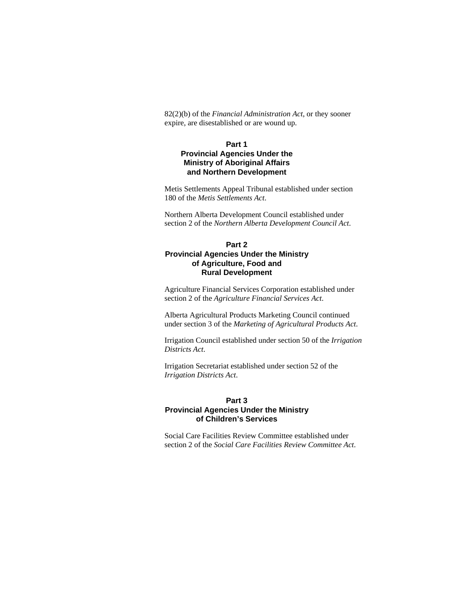82(2)(b) of the *Financial Administration Act*, or they sooner expire, are disestablished or are wound up.

# **Part 1 Provincial Agencies Under the Ministry of Aboriginal Affairs and Northern Development**

Metis Settlements Appeal Tribunal established under section 180 of the *Metis Settlements Act*.

Northern Alberta Development Council established under section 2 of the *Northern Alberta Development Council Act*.

# **Part 2 Provincial Agencies Under the Ministry of Agriculture, Food and Rural Development**

Agriculture Financial Services Corporation established under section 2 of the *Agriculture Financial Services Act*.

Alberta Agricultural Products Marketing Council continued under section 3 of the *Marketing of Agricultural Products Act*.

Irrigation Council established under section 50 of the *Irrigation Districts Act*.

Irrigation Secretariat established under section 52 of the *Irrigation Districts Act*.

# **Part 3**

# **Provincial Agencies Under the Ministry of Children's Services**

Social Care Facilities Review Committee established under section 2 of the *Social Care Facilities Review Committee Act*.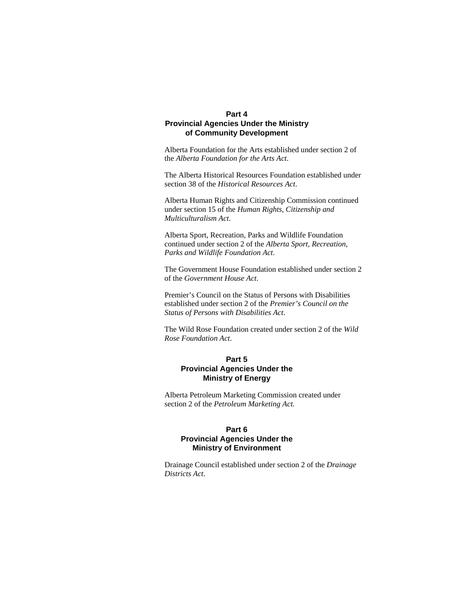# **Part 4 Provincial Agencies Under the Ministry of Community Development**

Alberta Foundation for the Arts established under section 2 of the *Alberta Foundation for the Arts Act*.

The Alberta Historical Resources Foundation established under section 38 of the *Historical Resources Act*.

Alberta Human Rights and Citizenship Commission continued under section 15 of the *Human Rights, Citizenship and Multiculturalism Act*.

Alberta Sport, Recreation, Parks and Wildlife Foundation continued under section 2 of the *Alberta Sport, Recreation, Parks and Wildlife Foundation Act*.

The Government House Foundation established under section 2 of the *Government House Act*.

Premier's Council on the Status of Persons with Disabilities established under section 2 of the *Premier's Council on the Status of Persons with Disabilities Act*.

The Wild Rose Foundation created under section 2 of the *Wild Rose Foundation Act*.

# **Part 5 Provincial Agencies Under the Ministry of Energy**

Alberta Petroleum Marketing Commission created under section 2 of the *Petroleum Marketing Act*.

# **Part 6 Provincial Agencies Under the Ministry of Environment**

Drainage Council established under section 2 of the *Drainage Districts Act*.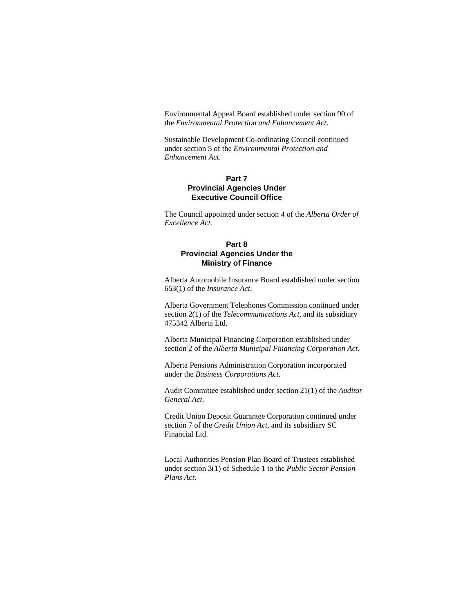Environmental Appeal Board established under section 90 of the *Environmental Protection and Enhancement Act*.

Sustainable Development Co-ordinating Council continued under section 5 of the *Environmental Protection and Enhancement Act*.

# **Part 7 Provincial Agencies Under Executive Council Office**

The Council appointed under section 4 of the *Alberta Order of Excellence Act*.

# **Part 8 Provincial Agencies Under the Ministry of Finance**

Alberta Automobile Insurance Board established under section 653(1) of the *Insurance Act*.

Alberta Government Telephones Commission continued under section 2(1) of the *Telecommunications Act*, and its subsidiary 475342 Alberta Ltd.

Alberta Municipal Financing Corporation established under section 2 of the *Alberta Municipal Financing Corporation Act*.

Alberta Pensions Administration Corporation incorporated under the *Business Corporations Act*.

Audit Committee established under section 21(1) of the *Auditor General Act*.

Credit Union Deposit Guarantee Corporation continued under section 7 of the *Credit Union Act*, and its subsidiary SC Financial Ltd.

Local Authorities Pension Plan Board of Trustees established under section 3(1) of Schedule 1 to the *Public Sector Pension Plans Act*.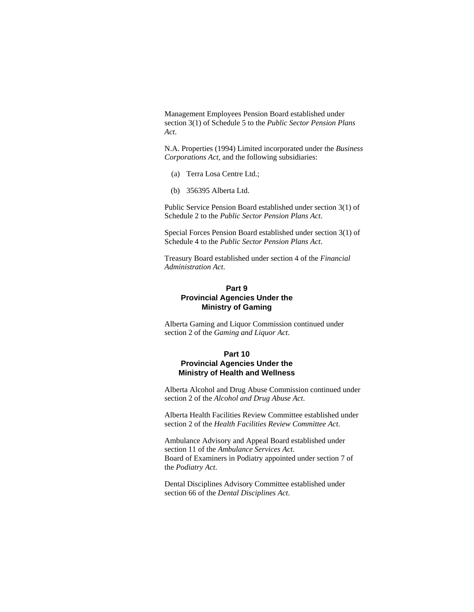Management Employees Pension Board established under section 3(1) of Schedule 5 to the *Public Sector Pension Plans Act*.

N.A. Properties (1994) Limited incorporated under the *Business Corporations Act*, and the following subsidiaries:

- (a) Terra Losa Centre Ltd.;
- (b) 356395 Alberta Ltd.

Public Service Pension Board established under section 3(1) of Schedule 2 to the *Public Sector Pension Plans Act*.

Special Forces Pension Board established under section 3(1) of Schedule 4 to the *Public Sector Pension Plans Act*.

Treasury Board established under section 4 of the *Financial Administration Act*.

# **Part 9 Provincial Agencies Under the Ministry of Gaming**

Alberta Gaming and Liquor Commission continued under section 2 of the *Gaming and Liquor Act*.

## **Part 10**

# **Provincial Agencies Under the Ministry of Health and Wellness**

Alberta Alcohol and Drug Abuse Commission continued under section 2 of the *Alcohol and Drug Abuse Act*.

Alberta Health Facilities Review Committee established under section 2 of the *Health Facilities Review Committee Act*.

Ambulance Advisory and Appeal Board established under section 11 of the *Ambulance Services Act*. Board of Examiners in Podiatry appointed under section 7 of the *Podiatry Act*.

Dental Disciplines Advisory Committee established under section 66 of the *Dental Disciplines Act*.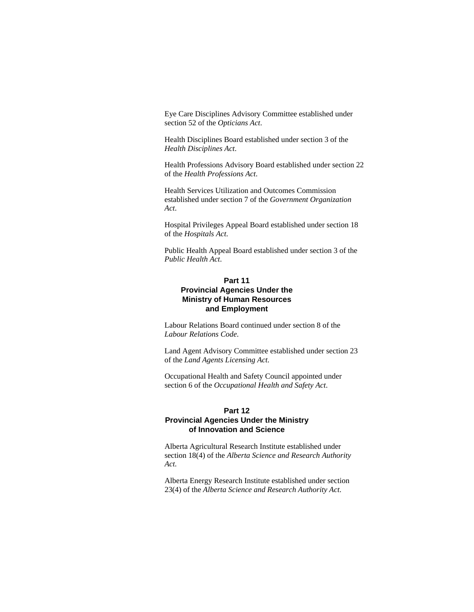Eye Care Disciplines Advisory Committee established under section 52 of the *Opticians Act*.

Health Disciplines Board established under section 3 of the *Health Disciplines Act*.

Health Professions Advisory Board established under section 22 of the *Health Professions Act*.

Health Services Utilization and Outcomes Commission established under section 7 of the *Government Organization Act*.

Hospital Privileges Appeal Board established under section 18 of the *Hospitals Act*.

Public Health Appeal Board established under section 3 of the *Public Health Act*.

# **Part 11 Provincial Agencies Under the Ministry of Human Resources and Employment**

Labour Relations Board continued under section 8 of the *Labour Relations Code*.

Land Agent Advisory Committee established under section 23 of the *Land Agents Licensing Act*.

Occupational Health and Safety Council appointed under section 6 of the *Occupational Health and Safety Act*.

# **Part 12 Provincial Agencies Under the Ministry of Innovation and Science**

Alberta Agricultural Research Institute established under section 18(4) of the *Alberta Science and Research Authority Act*.

Alberta Energy Research Institute established under section 23(4) of the *Alberta Science and Research Authority Act*.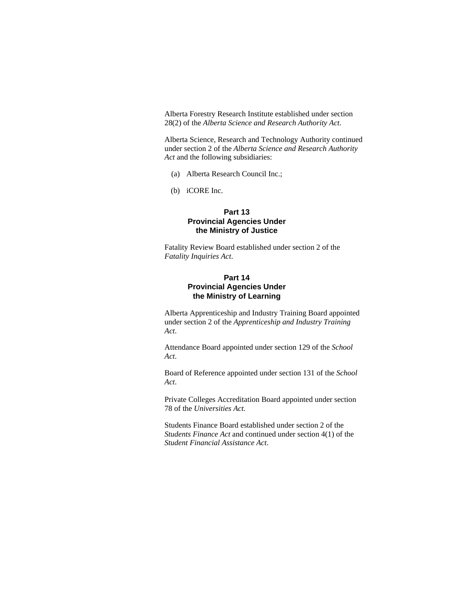Alberta Forestry Research Institute established under section 28(2) of the *Alberta Science and Research Authority Act*.

Alberta Science, Research and Technology Authority continued under section 2 of the *Alberta Science and Research Authority Act* and the following subsidiaries:

- (a) Alberta Research Council Inc.;
- (b) iCORE Inc.

# **Part 13 Provincial Agencies Under the Ministry of Justice**

Fatality Review Board established under section 2 of the *Fatality Inquiries Act*.

# **Part 14 Provincial Agencies Under the Ministry of Learning**

Alberta Apprenticeship and Industry Training Board appointed under section 2 of the *Apprenticeship and Industry Training Act*.

Attendance Board appointed under section 129 of the *School Act*.

Board of Reference appointed under section 131 of the *School Act*.

Private Colleges Accreditation Board appointed under section 78 of the *Universities Act*.

Students Finance Board established under section 2 of the *Students Finance Act* and continued under section 4(1) of the *Student Financial Assistance Act*.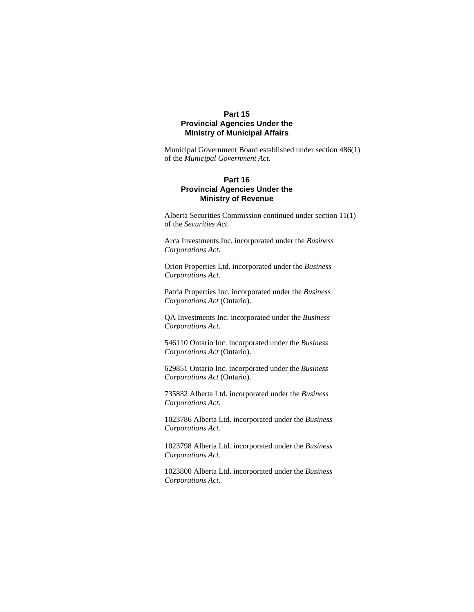# **Part 15 Provincial Agencies Under the Ministry of Municipal Affairs**

Municipal Government Board established under section 486(1) of the *Municipal Government Act*.

# **Part 16 Provincial Agencies Under the Ministry of Revenue**

Alberta Securities Commission continued under section 11(1) of the *Securities Act*.

Arca Investments Inc. incorporated under the *Business Corporations Act*.

Orion Properties Ltd. incorporated under the *Business Corporations Act*.

Patria Properties Inc. incorporated under the *Business Corporations Act* (Ontario).

QA Investments Inc. incorporated under the *Business Corporations Act*.

546110 Ontario Inc. incorporated under the *Business Corporations Act* (Ontario).

629851 Ontario Inc. incorporated under the *Business Corporations Act* (Ontario).

735832 Alberta Ltd. incorporated under the *Business Corporations Act*.

1023786 Alberta Ltd. incorporated under the *Business Corporations Act*.

1023798 Alberta Ltd. incorporated under the *Business Corporations Act*.

1023800 Alberta Ltd. incorporated under the *Business Corporations Act*.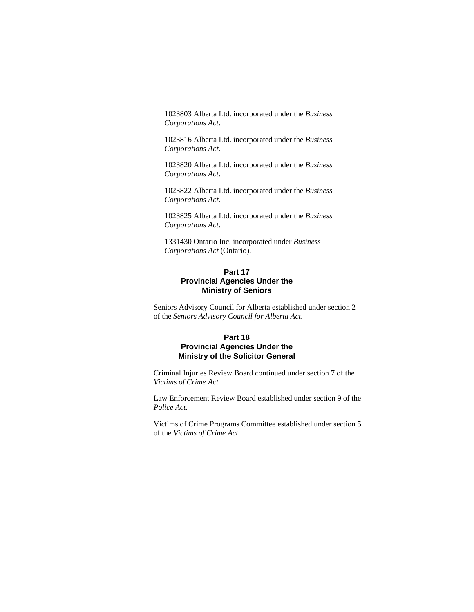1023803 Alberta Ltd. incorporated under the *Business Corporations Act*.

1023816 Alberta Ltd. incorporated under the *Business Corporations Act*.

1023820 Alberta Ltd. incorporated under the *Business Corporations Act*.

1023822 Alberta Ltd. incorporated under the *Business Corporations Act*.

1023825 Alberta Ltd. incorporated under the *Business Corporations Act*.

1331430 Ontario Inc. incorporated under *Business Corporations Act* (Ontario).

# **Part 17 Provincial Agencies Under the Ministry of Seniors**

Seniors Advisory Council for Alberta established under section 2 of the *Seniors Advisory Council for Alberta Act*.

# **Part 18 Provincial Agencies Under the Ministry of the Solicitor General**

Criminal Injuries Review Board continued under section 7 of the *Victims of Crime Act*.

Law Enforcement Review Board established under section 9 of the *Police Act*.

Victims of Crime Programs Committee established under section 5 of the *Victims of Crime Act*.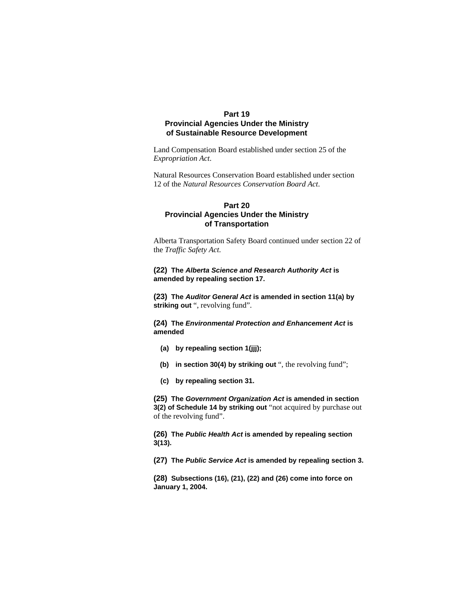# **Part 19 Provincial Agencies Under the Ministry of Sustainable Resource Development**

Land Compensation Board established under section 25 of the *Expropriation Act*.

Natural Resources Conservation Board established under section 12 of the *Natural Resources Conservation Board Act*.

# **Part 20 Provincial Agencies Under the Ministry of Transportation**

Alberta Transportation Safety Board continued under section 22 of the *Traffic Safety Act*.

### **(22) The** *Alberta Science and Research Authority Act* **is amended by repealing section 17.**

**(23) The** *Auditor General Act* **is amended in section 11(a) by**  striking out ", revolving fund".

**(24) The** *Environmental Protection and Enhancement Act* **is amended**

- **(a) by repealing section 1(jjj);**
- **(b) in section 30(4) by striking out** ", the revolving fund";
- **(c) by repealing section 31.**

**(25) The** *Government Organization Act* **is amended in section 3(2) of Schedule 14 by striking out** "not acquired by purchase out of the revolving fund".

**(26) The** *Public Health Act* **is amended by repealing section 3(13).**

**(27) The** *Public Service Act* **is amended by repealing section 3.**

**(28) Subsections (16), (21), (22) and (26) come into force on January 1, 2004.**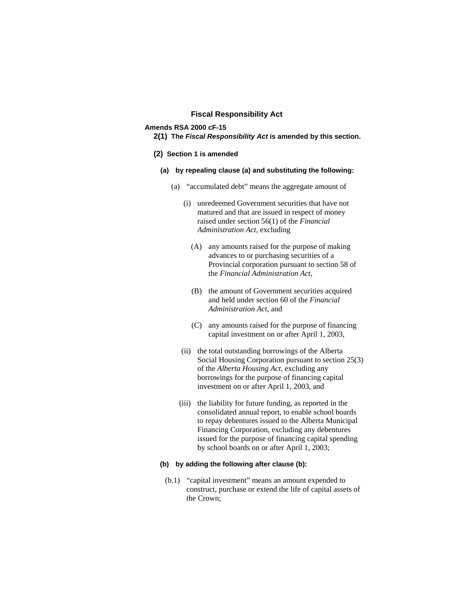### **Fiscal Responsibility Act**

# **Amends RSA 2000 cF-15**

**2(1) The** *Fiscal Responsibility Act* **is amended by this section.** 

### **(2) Section 1 is amended**

- **(a) by repealing clause (a) and substituting the following:**
	- (a) "accumulated debt" means the aggregate amount of
		- (i) unredeemed Government securities that have not matured and that are issued in respect of money raised under section 56(1) of the *Financial Administration Act*, excluding
			- (A) any amounts raised for the purpose of making advances to or purchasing securities of a Provincial corporation pursuant to section 58 of the *Financial Administration Act*,
			- (B) the amount of Government securities acquired and held under section 60 of the *Financial Administration Act*, and
			- (C) any amounts raised for the purpose of financing capital investment on or after April 1, 2003,
		- (ii) the total outstanding borrowings of the Alberta Social Housing Corporation pursuant to section 25(3) of the *Alberta Housing Act*, excluding any borrowings for the purpose of financing capital investment on or after April 1, 2003, and
		- (iii) the liability for future funding, as reported in the consolidated annual report, to enable school boards to repay debentures issued to the Alberta Municipal Financing Corporation, excluding any debentures issued for the purpose of financing capital spending by school boards on or after April 1, 2003;

# **(b) by adding the following after clause (b):**

 (b.1) "capital investment" means an amount expended to construct, purchase or extend the life of capital assets of the Crown;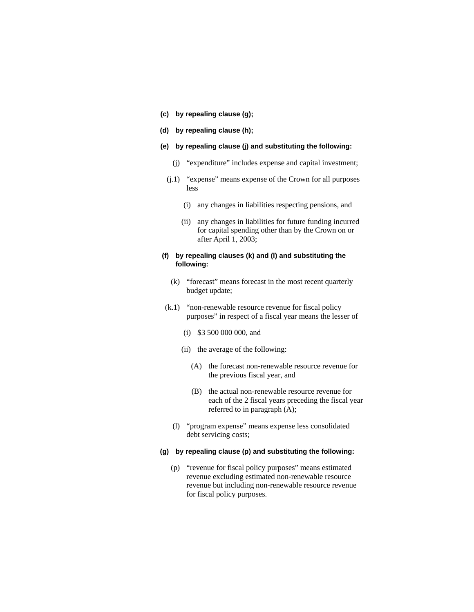- **(c) by repealing clause (g);**
- **(d) by repealing clause (h);**
- **(e) by repealing clause (j) and substituting the following:**
	- (j) "expenditure" includes expense and capital investment;
	- (j.1) "expense" means expense of the Crown for all purposes less
		- (i) any changes in liabilities respecting pensions, and
		- (ii) any changes in liabilities for future funding incurred for capital spending other than by the Crown on or after April 1, 2003;

### **(f) by repealing clauses (k) and (l) and substituting the following:**

- (k) "forecast" means forecast in the most recent quarterly budget update;
- (k.1) "non-renewable resource revenue for fiscal policy purposes" in respect of a fiscal year means the lesser of
	- (i) \$3 500 000 000, and
	- (ii) the average of the following:
		- (A) the forecast non-renewable resource revenue for the previous fiscal year, and
		- (B) the actual non-renewable resource revenue for each of the 2 fiscal years preceding the fiscal year referred to in paragraph (A);
	- (l) "program expense" means expense less consolidated debt servicing costs;

# **(g) by repealing clause (p) and substituting the following:**

 (p) "revenue for fiscal policy purposes" means estimated revenue excluding estimated non-renewable resource revenue but including non-renewable resource revenue for fiscal policy purposes.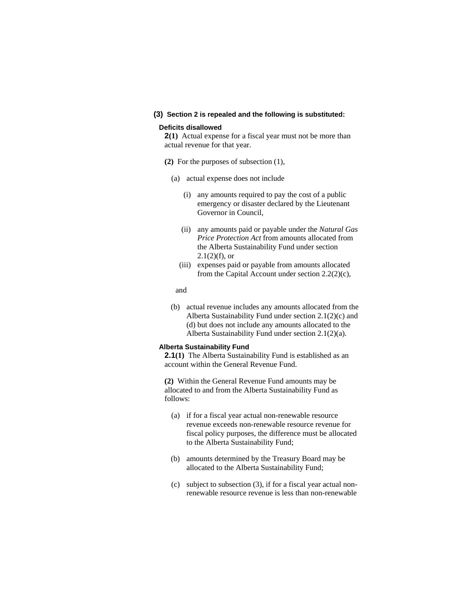### **(3) Section 2 is repealed and the following is substituted:**

### **Deficits disallowed**

**2(1)** Actual expense for a fiscal year must not be more than actual revenue for that year.

- **(2)** For the purposes of subsection (1),
	- (a) actual expense does not include
		- (i) any amounts required to pay the cost of a public emergency or disaster declared by the Lieutenant Governor in Council,
		- (ii) any amounts paid or payable under the *Natural Gas Price Protection Act* from amounts allocated from the Alberta Sustainability Fund under section  $2.1(2)(f)$ , or
		- (iii) expenses paid or payable from amounts allocated from the Capital Account under section 2.2(2)(c),

#### and

 (b) actual revenue includes any amounts allocated from the Alberta Sustainability Fund under section 2.1(2)(c) and (d) but does not include any amounts allocated to the Alberta Sustainability Fund under section 2.1(2)(a).

#### **Alberta Sustainability Fund**

**2.1(1)** The Alberta Sustainability Fund is established as an account within the General Revenue Fund.

**(2)** Within the General Revenue Fund amounts may be allocated to and from the Alberta Sustainability Fund as follows:

- (a) if for a fiscal year actual non-renewable resource revenue exceeds non-renewable resource revenue for fiscal policy purposes, the difference must be allocated to the Alberta Sustainability Fund;
- (b) amounts determined by the Treasury Board may be allocated to the Alberta Sustainability Fund;
- (c) subject to subsection (3), if for a fiscal year actual nonrenewable resource revenue is less than non-renewable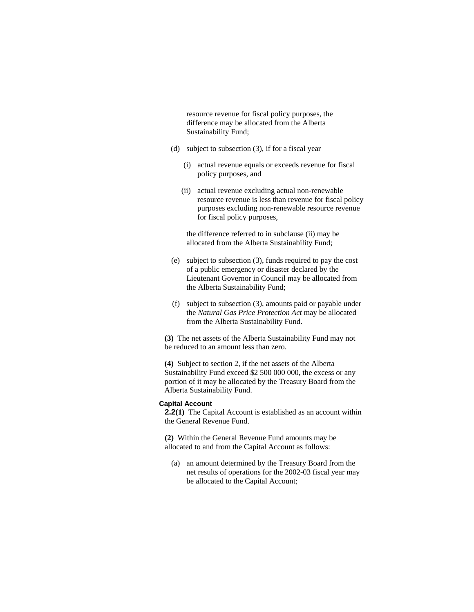resource revenue for fiscal policy purposes, the difference may be allocated from the Alberta Sustainability Fund;

- (d) subject to subsection (3), if for a fiscal year
	- (i) actual revenue equals or exceeds revenue for fiscal policy purposes, and
	- (ii) actual revenue excluding actual non-renewable resource revenue is less than revenue for fiscal policy purposes excluding non-renewable resource revenue for fiscal policy purposes,

 the difference referred to in subclause (ii) may be allocated from the Alberta Sustainability Fund;

- (e) subject to subsection (3), funds required to pay the cost of a public emergency or disaster declared by the Lieutenant Governor in Council may be allocated from the Alberta Sustainability Fund;
- (f) subject to subsection (3), amounts paid or payable under the *Natural Gas Price Protection Act* may be allocated from the Alberta Sustainability Fund.

**(3)** The net assets of the Alberta Sustainability Fund may not be reduced to an amount less than zero.

**(4)** Subject to section 2, if the net assets of the Alberta Sustainability Fund exceed \$2 500 000 000, the excess or any portion of it may be allocated by the Treasury Board from the Alberta Sustainability Fund.

### **Capital Account**

**2.2(1)** The Capital Account is established as an account within the General Revenue Fund.

**(2)** Within the General Revenue Fund amounts may be allocated to and from the Capital Account as follows:

 (a) an amount determined by the Treasury Board from the net results of operations for the 2002-03 fiscal year may be allocated to the Capital Account;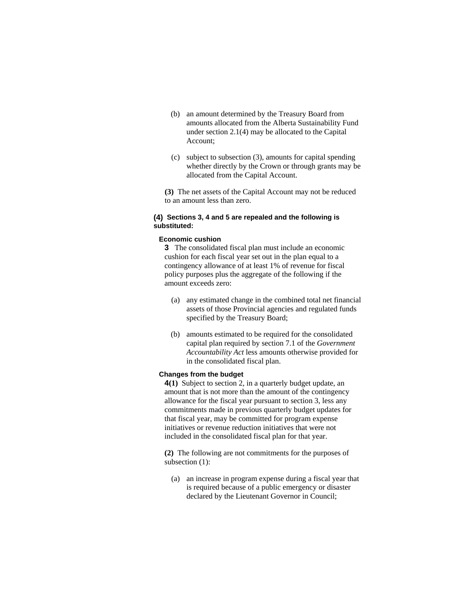- (b) an amount determined by the Treasury Board from amounts allocated from the Alberta Sustainability Fund under section 2.1(4) may be allocated to the Capital Account;
- (c) subject to subsection (3), amounts for capital spending whether directly by the Crown or through grants may be allocated from the Capital Account.

**(3)** The net assets of the Capital Account may not be reduced to an amount less than zero.

# **(4) Sections 3, 4 and 5 are repealed and the following is substituted:**

# **Economic cushion**

**3** The consolidated fiscal plan must include an economic cushion for each fiscal year set out in the plan equal to a contingency allowance of at least 1% of revenue for fiscal policy purposes plus the aggregate of the following if the amount exceeds zero:

- (a) any estimated change in the combined total net financial assets of those Provincial agencies and regulated funds specified by the Treasury Board;
- (b) amounts estimated to be required for the consolidated capital plan required by section 7.1 of the *Government Accountability Act* less amounts otherwise provided for in the consolidated fiscal plan.

# **Changes from the budget**

**4(1)** Subject to section 2, in a quarterly budget update, an amount that is not more than the amount of the contingency allowance for the fiscal year pursuant to section 3, less any commitments made in previous quarterly budget updates for that fiscal year, may be committed for program expense initiatives or revenue reduction initiatives that were not included in the consolidated fiscal plan for that year.

**(2)** The following are not commitments for the purposes of subsection (1):

 (a) an increase in program expense during a fiscal year that is required because of a public emergency or disaster declared by the Lieutenant Governor in Council;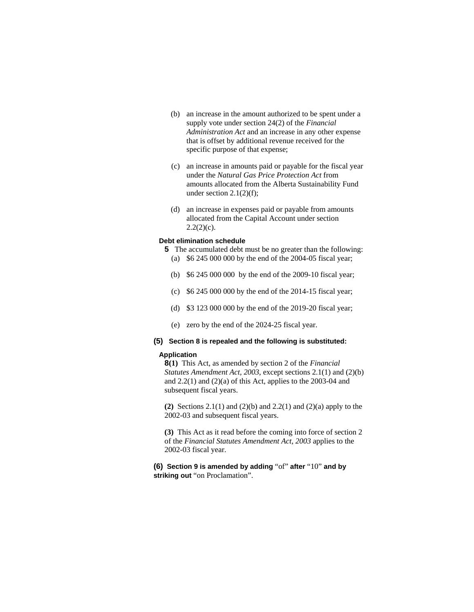- (b) an increase in the amount authorized to be spent under a supply vote under section 24(2) of the *Financial Administration Act* and an increase in any other expense that is offset by additional revenue received for the specific purpose of that expense;
- (c) an increase in amounts paid or payable for the fiscal year under the *Natural Gas Price Protection Act* from amounts allocated from the Alberta Sustainability Fund under section  $2.1(2)(f)$ ;
- (d) an increase in expenses paid or payable from amounts allocated from the Capital Account under section  $2.2(2)(c)$ .

#### **Debt elimination schedule**

- **5** The accumulated debt must be no greater than the following:
	- (a) \$6 245 000 000 by the end of the 2004-05 fiscal year;
	- (b) \$6 245 000 000 by the end of the 2009-10 fiscal year;
	- (c) \$6 245 000 000 by the end of the 2014-15 fiscal year;
	- (d) \$3 123 000 000 by the end of the 2019-20 fiscal year;
	- (e) zero by the end of the 2024-25 fiscal year.

# **(5) Section 8 is repealed and the following is substituted:**

### **Application**

**8(1)** This Act, as amended by section 2 of the *Financial Statutes Amendment Act, 2003*, except sections 2.1(1) and (2)(b) and 2.2(1) and (2)(a) of this Act, applies to the 2003-04 and subsequent fiscal years.

**(2)** Sections 2.1(1) and (2)(b) and 2.2(1) and (2)(a) apply to the 2002-03 and subsequent fiscal years.

**(3)** This Act as it read before the coming into force of section 2 of the *Financial Statutes Amendment Act, 2003* applies to the 2002-03 fiscal year.

**(6) Section 9 is amended by adding** "of" **after** "10" **and by**  striking out "on Proclamation".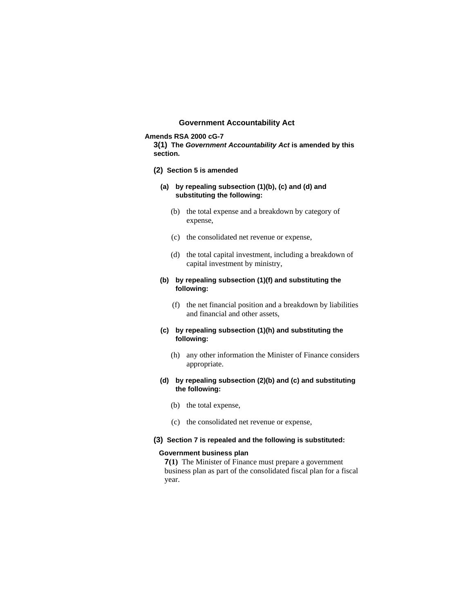# **Government Accountability Act**

### **Amends RSA 2000 cG-7**

**3(1) The** *Government Accountability Act* **is amended by this section.** 

- **(2) Section 5 is amended**
	- **(a) by repealing subsection (1)(b), (c) and (d) and substituting the following:** 
		- (b) the total expense and a breakdown by category of expense,
		- (c) the consolidated net revenue or expense,
		- (d) the total capital investment, including a breakdown of capital investment by ministry,

### **(b) by repealing subsection (1)(f) and substituting the following:**

 (f) the net financial position and a breakdown by liabilities and financial and other assets,

### **(c) by repealing subsection (1)(h) and substituting the following:**

 (h) any other information the Minister of Finance considers appropriate.

### **(d) by repealing subsection (2)(b) and (c) and substituting the following:**

- (b) the total expense,
- (c) the consolidated net revenue or expense,

### **(3) Section 7 is repealed and the following is substituted:**

#### **Government business plan**

**7(1)** The Minister of Finance must prepare a government business plan as part of the consolidated fiscal plan for a fiscal year.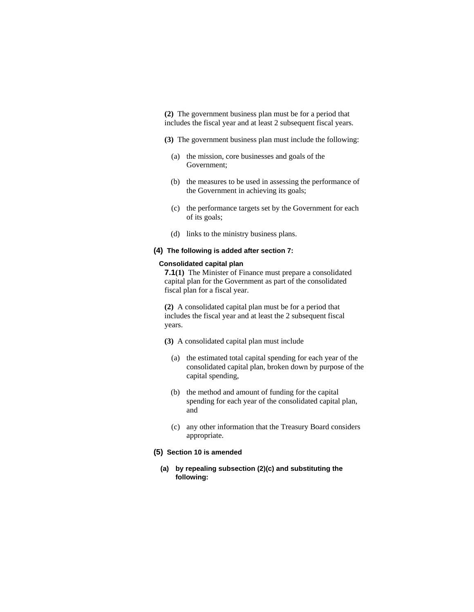**(2)** The government business plan must be for a period that includes the fiscal year and at least 2 subsequent fiscal years.

- **(3)** The government business plan must include the following:
	- (a) the mission, core businesses and goals of the Government;
	- (b) the measures to be used in assessing the performance of the Government in achieving its goals;
	- (c) the performance targets set by the Government for each of its goals;
- (d) links to the ministry business plans.

### **(4) The following is added after section 7:**

### **Consolidated capital plan**

**7.1(1)** The Minister of Finance must prepare a consolidated capital plan for the Government as part of the consolidated fiscal plan for a fiscal year.

**(2)** A consolidated capital plan must be for a period that includes the fiscal year and at least the 2 subsequent fiscal years.

- **(3)** A consolidated capital plan must include
	- (a) the estimated total capital spending for each year of the consolidated capital plan, broken down by purpose of the capital spending,
	- (b) the method and amount of funding for the capital spending for each year of the consolidated capital plan, and
	- (c) any other information that the Treasury Board considers appropriate.

### **(5) Section 10 is amended**

**(a) by repealing subsection (2)(c) and substituting the following:**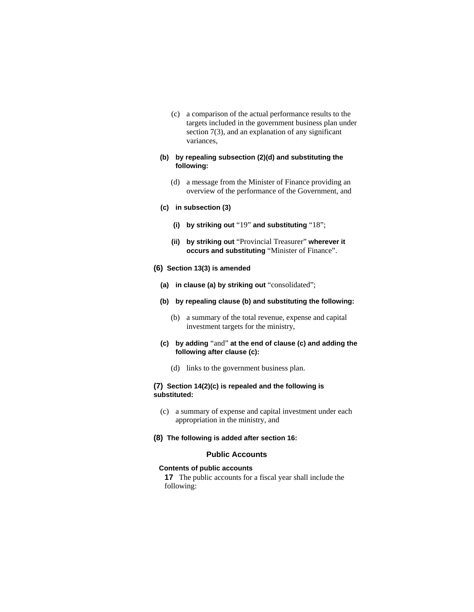(c) a comparison of the actual performance results to the targets included in the government business plan under section 7(3), and an explanation of any significant variances,

### **(b) by repealing subsection (2)(d) and substituting the following:**

- (d) a message from the Minister of Finance providing an overview of the performance of the Government, and
- **(c) in subsection (3)** 
	- **(i) by striking out** "19" **and substituting** "18";
	- **(ii) by striking out** "Provincial Treasurer" **wherever it occurs and substituting** "Minister of Finance".
- **(6) Section 13(3) is amended**
	- **(a) in clause (a) by striking out** "consolidated";
	- **(b) by repealing clause (b) and substituting the following:** 
		- (b) a summary of the total revenue, expense and capital investment targets for the ministry,
	- **(c) by adding** "and" **at the end of clause (c) and adding the following after clause (c):** 
		- (d) links to the government business plan.

# **(7) Section 14(2)(c) is repealed and the following is substituted:**

- (c) a summary of expense and capital investment under each appropriation in the ministry, and
- **(8) The following is added after section 16:**

# **Public Accounts**

### **Contents of public accounts**

**17** The public accounts for a fiscal year shall include the following: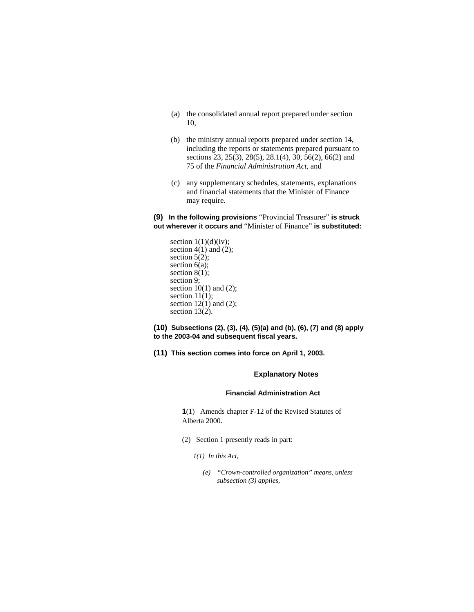- (a) the consolidated annual report prepared under section 10,
- (b) the ministry annual reports prepared under section 14, including the reports or statements prepared pursuant to sections 23, 25(3), 28(5), 28.1(4), 30, 56(2), 66(2) and 75 of the *Financial Administration Act*, and
- (c) any supplementary schedules, statements, explanations and financial statements that the Minister of Finance may require.

**(9) In the following provisions** "Provincial Treasurer" **is struck out wherever it occurs and** "Minister of Finance" **is substituted:**

section  $1(1)(d)(iv)$ ; section  $4(1)$  and  $(2)$ ; section  $5(2)$ ; section  $6(a)$ ; section  $8(1)$ ; section 9; section  $10(1)$  and  $(2)$ ; section  $11(1)$ ; section  $12(1)$  and  $(2)$ ; section 13(2).

**(10) Subsections (2), (3), (4), (5)(a) and (b), (6), (7) and (8) apply to the 2003-04 and subsequent fiscal years.**

**(11) This section comes into force on April 1, 2003.** 

# **Explanatory Notes**

### **Financial Administration Act**

**1**(1) Amends chapter F-12 of the Revised Statutes of Alberta 2000.

- (2) Section 1 presently reads in part:
	- *1(1) In this Act,* 
		- *(e) "Crown-controlled organization" means, unless subsection (3) applies,*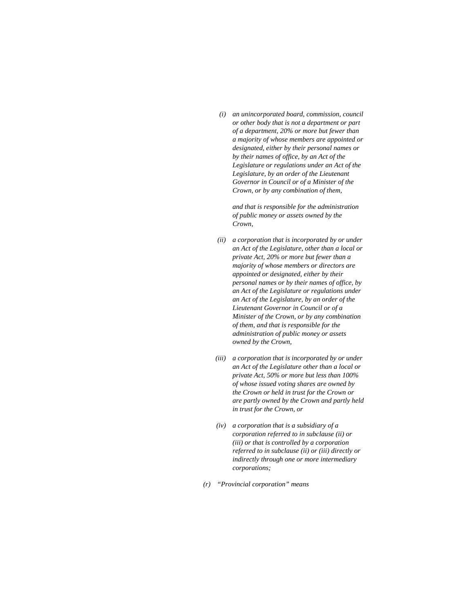*(i) an unincorporated board, commission, council or other body that is not a department or part of a department, 20% or more but fewer than a majority of whose members are appointed or designated, either by their personal names or by their names of office, by an Act of the Legislature or regulations under an Act of the Legislature, by an order of the Lieutenant Governor in Council or of a Minister of the Crown, or by any combination of them,* 

 *and that is responsible for the administration of public money or assets owned by the Crown,* 

- *(ii) a corporation that is incorporated by or under an Act of the Legislature, other than a local or private Act, 20% or more but fewer than a majority of whose members or directors are appointed or designated, either by their personal names or by their names of office, by an Act of the Legislature or regulations under an Act of the Legislature, by an order of the Lieutenant Governor in Council or of a Minister of the Crown, or by any combination of them, and that is responsible for the administration of public money or assets owned by the Crown,*
- *(iii) a corporation that is incorporated by or under an Act of the Legislature other than a local or private Act, 50% or more but less than 100% of whose issued voting shares are owned by the Crown or held in trust for the Crown or are partly owned by the Crown and partly held in trust for the Crown, or*
- *(iv) a corporation that is a subsidiary of a corporation referred to in subclause (ii) or (iii) or that is controlled by a corporation referred to in subclause (ii) or (iii) directly or indirectly through one or more intermediary corporations;*
- *(r) "Provincial corporation" means*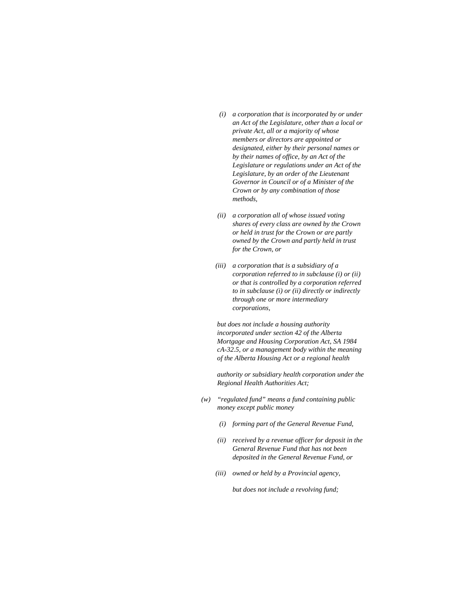- *(i) a corporation that is incorporated by or under an Act of the Legislature, other than a local or private Act, all or a majority of whose members or directors are appointed or designated, either by their personal names or by their names of office, by an Act of the Legislature or regulations under an Act of the Legislature, by an order of the Lieutenant Governor in Council or of a Minister of the Crown or by any combination of those methods,*
- *(ii) a corporation all of whose issued voting shares of every class are owned by the Crown or held in trust for the Crown or are partly owned by the Crown and partly held in trust for the Crown, or*
- *(iii) a corporation that is a subsidiary of a corporation referred to in subclause (i) or (ii) or that is controlled by a corporation referred to in subclause (i) or (ii) directly or indirectly through one or more intermediary corporations,*

 *but does not include a housing authority incorporated under section 42 of the Alberta Mortgage and Housing Corporation Act, SA 1984 cA-32.5, or a management body within the meaning of the Alberta Housing Act or a regional health* 

 *authority or subsidiary health corporation under the Regional Health Authorities Act;* 

- *(w) "regulated fund" means a fund containing public money except public money* 
	- *(i) forming part of the General Revenue Fund,*
	- *(ii) received by a revenue officer for deposit in the General Revenue Fund that has not been deposited in the General Revenue Fund, or*
	- *(iii) owned or held by a Provincial agency,*

 *but does not include a revolving fund;*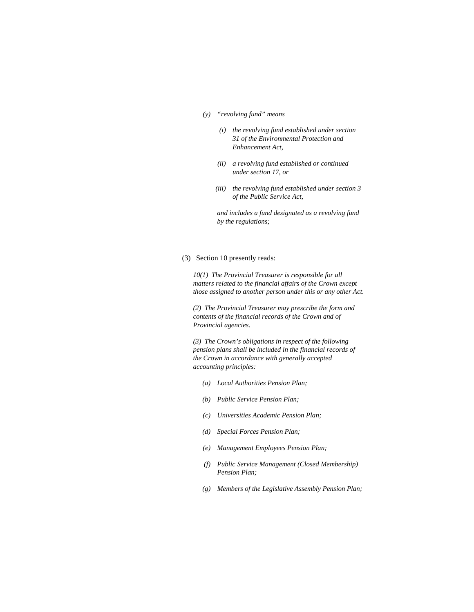- *(y) "revolving fund" means* 
	- *(i) the revolving fund established under section 31 of the Environmental Protection and Enhancement Act,*
	- *(ii) a revolving fund established or continued under section 17, or*
	- *(iii) the revolving fund established under section 3 of the Public Service Act,*

 *and includes a fund designated as a revolving fund by the regulations;* 

(3) Section 10 presently reads:

*10(1) The Provincial Treasurer is responsible for all matters related to the financial affairs of the Crown except those assigned to another person under this or any other Act.* 

*(2) The Provincial Treasurer may prescribe the form and contents of the financial records of the Crown and of Provincial agencies.* 

*(3) The Crown's obligations in respect of the following pension plans shall be included in the financial records of the Crown in accordance with generally accepted accounting principles:* 

- *(a) Local Authorities Pension Plan;*
- *(b) Public Service Pension Plan;*
- *(c) Universities Academic Pension Plan;*
- *(d) Special Forces Pension Plan;*
- *(e) Management Employees Pension Plan;*
- *(f) Public Service Management (Closed Membership) Pension Plan;*
- *(g) Members of the Legislative Assembly Pension Plan;*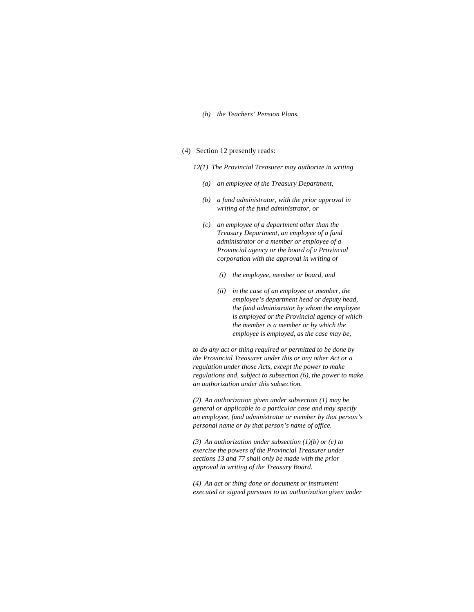### *(h) the Teachers' Pension Plans.*

#### (4) Section 12 presently reads:

- *12(1) The Provincial Treasurer may authorize in writing* 
	- *(a) an employee of the Treasury Department,*
	- *(b) a fund administrator, with the prior approval in writing of the fund administrator, or*
	- *(c) an employee of a department other than the Treasury Department, an employee of a fund administrator or a member or employee of a Provincial agency or the board of a Provincial corporation with the approval in writing of* 
		- *(i) the employee, member or board, and*
		- *(ii) in the case of an employee or member, the employee's department head or deputy head, the fund administrator by whom the employee is employed or the Provincial agency of which the member is a member or by which the employee is employed, as the case may be,*

*to do any act or thing required or permitted to be done by the Provincial Treasurer under this or any other Act or a regulation under those Acts, except the power to make regulations and, subject to subsection (6), the power to make an authorization under this subsection.* 

*(2) An authorization given under subsection (1) may be general or applicable to a particular case and may specify an employee, fund administrator or member by that person's personal name or by that person's name of office.* 

*(3) An authorization under subsection (1)(b) or (c) to exercise the powers of the Provincial Treasurer under sections 13 and 77 shall only be made with the prior approval in writing of the Treasury Board.* 

*(4) An act or thing done or document or instrument executed or signed pursuant to an authorization given under*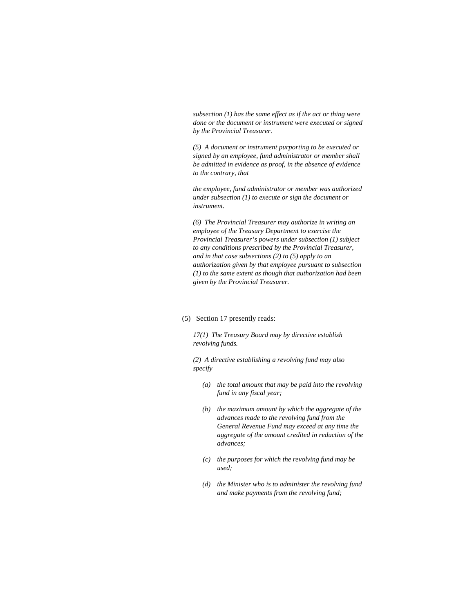*subsection (1) has the same effect as if the act or thing were done or the document or instrument were executed or signed by the Provincial Treasurer.* 

*(5) A document or instrument purporting to be executed or signed by an employee, fund administrator or member shall be admitted in evidence as proof, in the absence of evidence to the contrary, that* 

*the employee, fund administrator or member was authorized under subsection (1) to execute or sign the document or instrument.* 

*(6) The Provincial Treasurer may authorize in writing an employee of the Treasury Department to exercise the Provincial Treasurer's powers under subsection (1) subject to any conditions prescribed by the Provincial Treasurer, and in that case subsections (2) to (5) apply to an authorization given by that employee pursuant to subsection (1) to the same extent as though that authorization had been given by the Provincial Treasurer.* 

### (5) Section 17 presently reads:

*17(1) The Treasury Board may by directive establish revolving funds.* 

*(2) A directive establishing a revolving fund may also specify* 

- *(a) the total amount that may be paid into the revolving fund in any fiscal year;*
- *(b) the maximum amount by which the aggregate of the advances made to the revolving fund from the General Revenue Fund may exceed at any time the aggregate of the amount credited in reduction of the advances;*
- *(c) the purposes for which the revolving fund may be used;*
- *(d) the Minister who is to administer the revolving fund and make payments from the revolving fund;*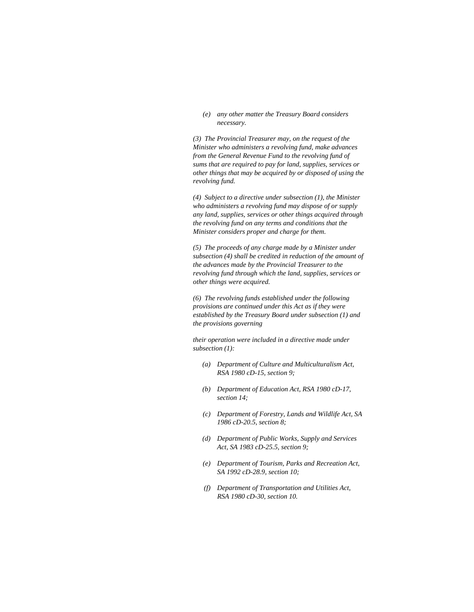*(e) any other matter the Treasury Board considers necessary.* 

*(3) The Provincial Treasurer may, on the request of the Minister who administers a revolving fund, make advances from the General Revenue Fund to the revolving fund of sums that are required to pay for land, supplies, services or other things that may be acquired by or disposed of using the revolving fund.* 

*(4) Subject to a directive under subsection (1), the Minister who administers a revolving fund may dispose of or supply any land, supplies, services or other things acquired through the revolving fund on any terms and conditions that the Minister considers proper and charge for them.* 

*(5) The proceeds of any charge made by a Minister under subsection (4) shall be credited in reduction of the amount of the advances made by the Provincial Treasurer to the revolving fund through which the land, supplies, services or other things were acquired.* 

*(6) The revolving funds established under the following provisions are continued under this Act as if they were established by the Treasury Board under subsection (1) and the provisions governing* 

*their operation were included in a directive made under subsection (1):* 

- *(a) Department of Culture and Multiculturalism Act, RSA 1980 cD-15, section 9;*
- *(b) Department of Education Act, RSA 1980 cD-17, section 14;*
- *(c) Department of Forestry, Lands and Wildlife Act, SA 1986 cD-20.5, section 8;*
- *(d) Department of Public Works, Supply and Services Act, SA 1983 cD-25.5, section 9;*
- *(e) Department of Tourism, Parks and Recreation Act, SA 1992 cD-28.9, section 10;*
- *(f) Department of Transportation and Utilities Act, RSA 1980 cD-30, section 10.*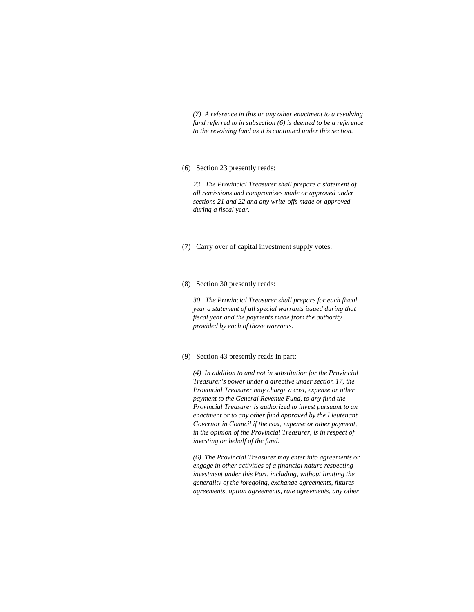*(7) A reference in this or any other enactment to a revolving fund referred to in subsection (6) is deemed to be a reference to the revolving fund as it is continued under this section.* 

#### (6) Section 23 presently reads:

*23 The Provincial Treasurer shall prepare a statement of all remissions and compromises made or approved under sections 21 and 22 and any write-offs made or approved during a fiscal year.* 

- (7) Carry over of capital investment supply votes.
- (8) Section 30 presently reads:

*30 The Provincial Treasurer shall prepare for each fiscal year a statement of all special warrants issued during that fiscal year and the payments made from the authority provided by each of those warrants.* 

#### (9) Section 43 presently reads in part:

*(4) In addition to and not in substitution for the Provincial Treasurer's power under a directive under section 17, the Provincial Treasurer may charge a cost, expense or other payment to the General Revenue Fund, to any fund the Provincial Treasurer is authorized to invest pursuant to an enactment or to any other fund approved by the Lieutenant Governor in Council if the cost, expense or other payment, in the opinion of the Provincial Treasurer, is in respect of investing on behalf of the fund.* 

*(6) The Provincial Treasurer may enter into agreements or engage in other activities of a financial nature respecting investment under this Part, including, without limiting the generality of the foregoing, exchange agreements, futures agreements, option agreements, rate agreements, any other*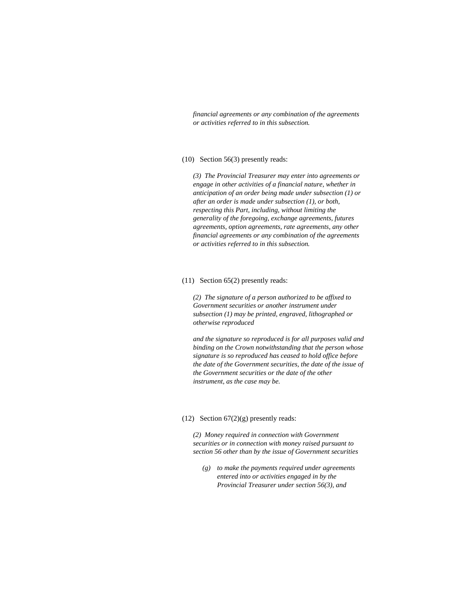*financial agreements or any combination of the agreements or activities referred to in this subsection.* 

### (10) Section 56(3) presently reads:

*(3) The Provincial Treasurer may enter into agreements or engage in other activities of a financial nature, whether in anticipation of an order being made under subsection (1) or after an order is made under subsection (1), or both, respecting this Part, including, without limiting the generality of the foregoing, exchange agreements, futures agreements, option agreements, rate agreements, any other financial agreements or any combination of the agreements or activities referred to in this subsection.* 

#### (11) Section 65(2) presently reads:

*(2) The signature of a person authorized to be affixed to Government securities or another instrument under subsection (1) may be printed, engraved, lithographed or otherwise reproduced* 

*and the signature so reproduced is for all purposes valid and binding on the Crown notwithstanding that the person whose signature is so reproduced has ceased to hold office before the date of the Government securities, the date of the issue of the Government securities or the date of the other instrument, as the case may be.* 

#### (12) Section  $67(2)(g)$  presently reads:

*(2) Money required in connection with Government securities or in connection with money raised pursuant to section 56 other than by the issue of Government securities* 

 *(g) to make the payments required under agreements entered into or activities engaged in by the Provincial Treasurer under section 56(3), and*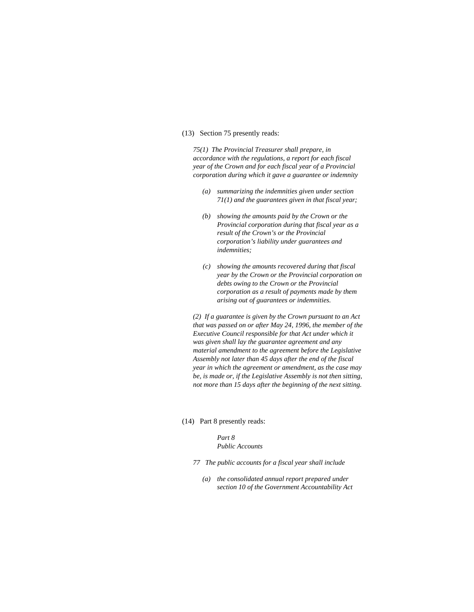### (13) Section 75 presently reads:

*75(1) The Provincial Treasurer shall prepare, in accordance with the regulations, a report for each fiscal year of the Crown and for each fiscal year of a Provincial corporation during which it gave a guarantee or indemnity* 

- *(a) summarizing the indemnities given under section 71(1) and the guarantees given in that fiscal year;*
- *(b) showing the amounts paid by the Crown or the Provincial corporation during that fiscal year as a result of the Crown's or the Provincial corporation's liability under guarantees and indemnities;*
- *(c) showing the amounts recovered during that fiscal year by the Crown or the Provincial corporation on debts owing to the Crown or the Provincial corporation as a result of payments made by them arising out of guarantees or indemnities.*

*(2) If a guarantee is given by the Crown pursuant to an Act that was passed on or after May 24, 1996, the member of the Executive Council responsible for that Act under which it was given shall lay the guarantee agreement and any material amendment to the agreement before the Legislative Assembly not later than 45 days after the end of the fiscal year in which the agreement or amendment, as the case may be, is made or, if the Legislative Assembly is not then sitting, not more than 15 days after the beginning of the next sitting.* 

(14) Part 8 presently reads:

### *Part 8 Public Accounts*

- *77 The public accounts for a fiscal year shall include* 
	- *(a) the consolidated annual report prepared under section 10 of the Government Accountability Act*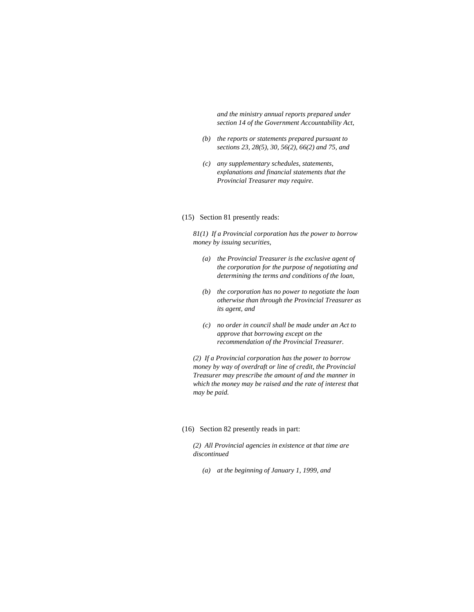*and the ministry annual reports prepared under section 14 of the Government Accountability Act,* 

- *(b) the reports or statements prepared pursuant to sections 23, 28(5), 30, 56(2), 66(2) and 75, and*
- *(c) any supplementary schedules, statements, explanations and financial statements that the Provincial Treasurer may require.*

### (15) Section 81 presently reads:

*81(1) If a Provincial corporation has the power to borrow money by issuing securities,* 

- *(a) the Provincial Treasurer is the exclusive agent of the corporation for the purpose of negotiating and determining the terms and conditions of the loan,*
- *(b) the corporation has no power to negotiate the loan otherwise than through the Provincial Treasurer as its agent, and*
- *(c) no order in council shall be made under an Act to approve that borrowing except on the recommendation of the Provincial Treasurer.*

*(2) If a Provincial corporation has the power to borrow money by way of overdraft or line of credit, the Provincial Treasurer may prescribe the amount of and the manner in which the money may be raised and the rate of interest that may be paid.* 

### (16) Section 82 presently reads in part:

*(2) All Provincial agencies in existence at that time are discontinued* 

 *(a) at the beginning of January 1, 1999, and*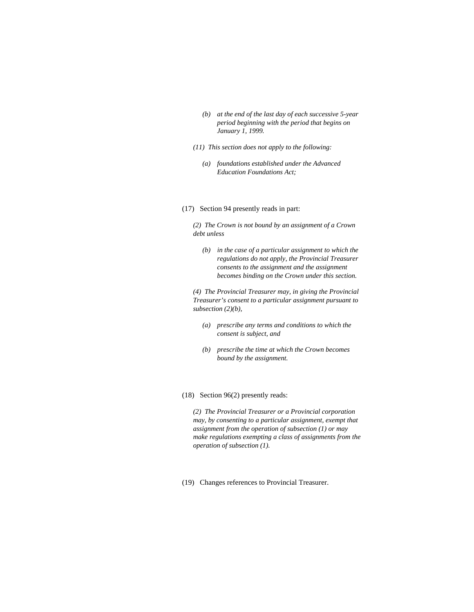- *(b) at the end of the last day of each successive 5-year period beginning with the period that begins on January 1, 1999.*
- *(11) This section does not apply to the following:* 
	- *(a) foundations established under the Advanced Education Foundations Act;*

### (17) Section 94 presently reads in part:

*(2) The Crown is not bound by an assignment of a Crown debt unless* 

 *(b) in the case of a particular assignment to which the regulations do not apply, the Provincial Treasurer consents to the assignment and the assignment becomes binding on the Crown under this section.* 

*(4) The Provincial Treasurer may, in giving the Provincial Treasurer's consent to a particular assignment pursuant to subsection (2)(b),* 

- *(a) prescribe any terms and conditions to which the consent is subject, and*
- *(b) prescribe the time at which the Crown becomes bound by the assignment.*
- (18) Section 96(2) presently reads:

*(2) The Provincial Treasurer or a Provincial corporation may, by consenting to a particular assignment, exempt that assignment from the operation of subsection (1) or may make regulations exempting a class of assignments from the operation of subsection (1).* 

(19) Changes references to Provincial Treasurer.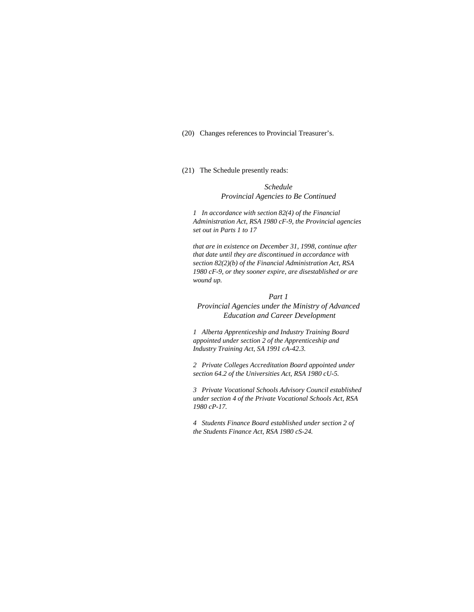(20) Changes references to Provincial Treasurer's.

# (21) The Schedule presently reads:

*Schedule Provincial Agencies to Be Continued*

*1 In accordance with section 82(4) of the Financial Administration Act, RSA 1980 cF-9, the Provincial agencies set out in Parts 1 to 17* 

*that are in existence on December 31, 1998, continue after that date until they are discontinued in accordance with section 82(2)(b) of the Financial Administration Act, RSA 1980 cF-9, or they sooner expire, are disestablished or are wound up.* 

#### *Part 1*

*Provincial Agencies under the Ministry of Advanced Education and Career Development*

*1 Alberta Apprenticeship and Industry Training Board appointed under section 2 of the Apprenticeship and Industry Training Act, SA 1991 cA-42.3.* 

*2 Private Colleges Accreditation Board appointed under section 64.2 of the Universities Act, RSA 1980 cU-5.* 

*3 Private Vocational Schools Advisory Council established under section 4 of the Private Vocational Schools Act, RSA 1980 cP-17.* 

*4 Students Finance Board established under section 2 of the Students Finance Act, RSA 1980 cS-24.*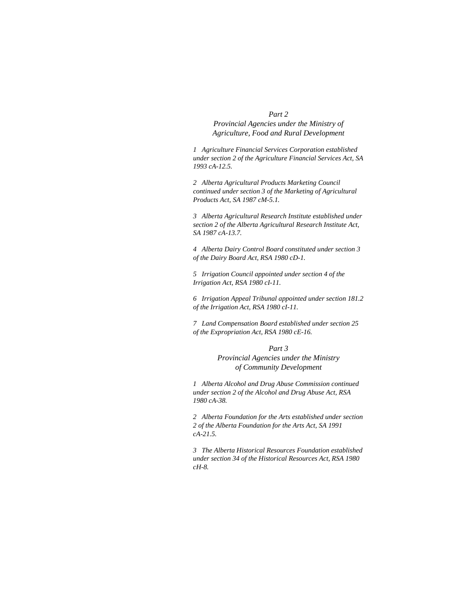#### *Part 2*

*Provincial Agencies under the Ministry of Agriculture, Food and Rural Development*

*1 Agriculture Financial Services Corporation established under section 2 of the Agriculture Financial Services Act, SA 1993 cA-12.5.* 

*2 Alberta Agricultural Products Marketing Council continued under section 3 of the Marketing of Agricultural Products Act, SA 1987 cM-5.1.* 

*3 Alberta Agricultural Research Institute established under section 2 of the Alberta Agricultural Research Institute Act, SA 1987 cA-13.7.* 

*4 Alberta Dairy Control Board constituted under section 3 of the Dairy Board Act, RSA 1980 cD-1.* 

*5 Irrigation Council appointed under section 4 of the Irrigation Act, RSA 1980 cI-11.* 

*6 Irrigation Appeal Tribunal appointed under section 181.2 of the Irrigation Act, RSA 1980 cI-11.* 

*7 Land Compensation Board established under section 25 of the Expropriation Act, RSA 1980 cE-16.* 

#### *Part 3*

*Provincial Agencies under the Ministry of Community Development*

*1 Alberta Alcohol and Drug Abuse Commission continued under section 2 of the Alcohol and Drug Abuse Act, RSA 1980 cA-38.* 

*2 Alberta Foundation for the Arts established under section 2 of the Alberta Foundation for the Arts Act, SA 1991 cA-21.5.* 

*3 The Alberta Historical Resources Foundation established under section 34 of the Historical Resources Act, RSA 1980 cH-8.*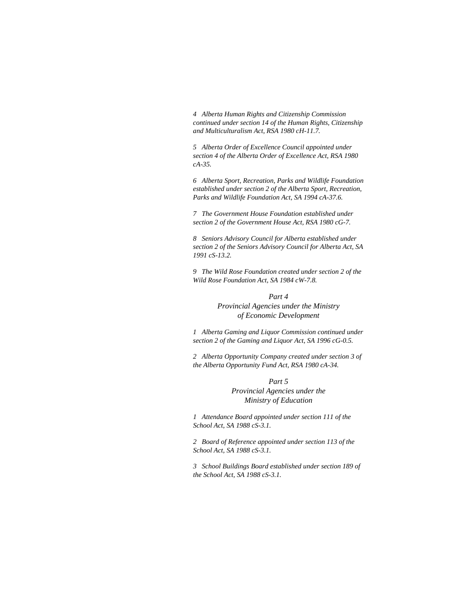*4 Alberta Human Rights and Citizenship Commission continued under section 14 of the Human Rights, Citizenship and Multiculturalism Act, RSA 1980 cH-11.7.* 

*5 Alberta Order of Excellence Council appointed under section 4 of the Alberta Order of Excellence Act, RSA 1980 cA-35.* 

*6 Alberta Sport, Recreation, Parks and Wildlife Foundation established under section 2 of the Alberta Sport, Recreation, Parks and Wildlife Foundation Act, SA 1994 cA-37.6.* 

*7 The Government House Foundation established under section 2 of the Government House Act, RSA 1980 cG-7.* 

*8 Seniors Advisory Council for Alberta established under section 2 of the Seniors Advisory Council for Alberta Act, SA 1991 cS-13.2.* 

*9 The Wild Rose Foundation created under section 2 of the Wild Rose Foundation Act, SA 1984 cW-7.8.* 

# *Part 4*

# *Provincial Agencies under the Ministry of Economic Development*

*1 Alberta Gaming and Liquor Commission continued under section 2 of the Gaming and Liquor Act, SA 1996 cG-0.5.* 

*2 Alberta Opportunity Company created under section 3 of the Alberta Opportunity Fund Act, RSA 1980 cA-34.* 

#### *Part 5*

*Provincial Agencies under the Ministry of Education*

*1 Attendance Board appointed under section 111 of the School Act, SA 1988 cS-3.1.* 

*2 Board of Reference appointed under section 113 of the School Act, SA 1988 cS-3.1.* 

*3 School Buildings Board established under section 189 of the School Act, SA 1988 cS-3.1.*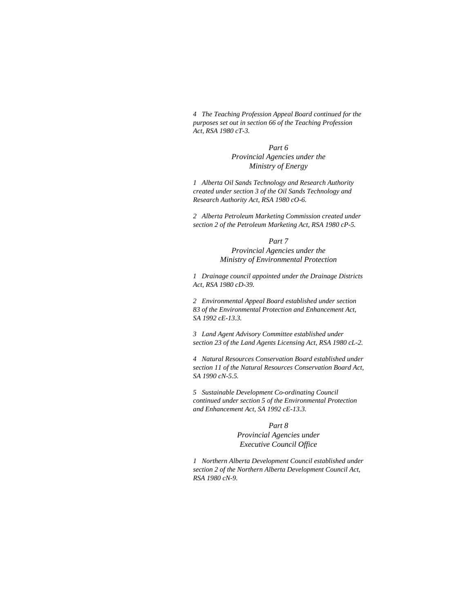*4 The Teaching Profession Appeal Board continued for the purposes set out in section 66 of the Teaching Profession Act, RSA 1980 cT-3.* 

> *Part 6 Provincial Agencies under the Ministry of Energy*

*1 Alberta Oil Sands Technology and Research Authority created under section 3 of the Oil Sands Technology and Research Authority Act, RSA 1980 cO-6.* 

*2 Alberta Petroleum Marketing Commission created under section 2 of the Petroleum Marketing Act, RSA 1980 cP-5.* 

*Part 7* 

*Provincial Agencies under the Ministry of Environmental Protection*

*1 Drainage council appointed under the Drainage Districts Act, RSA 1980 cD-39.* 

*2 Environmental Appeal Board established under section 83 of the Environmental Protection and Enhancement Act, SA 1992 cE-13.3.* 

*3 Land Agent Advisory Committee established under section 23 of the Land Agents Licensing Act, RSA 1980 cL-2.* 

*4 Natural Resources Conservation Board established under section 11 of the Natural Resources Conservation Board Act, SA 1990 cN-5.5.* 

*5 Sustainable Development Co-ordinating Council continued under section 5 of the Environmental Protection and Enhancement Act, SA 1992 cE-13.3.* 

> *Part 8 Provincial Agencies under Executive Council Office*

*1 Northern Alberta Development Council established under section 2 of the Northern Alberta Development Council Act, RSA 1980 cN-9.*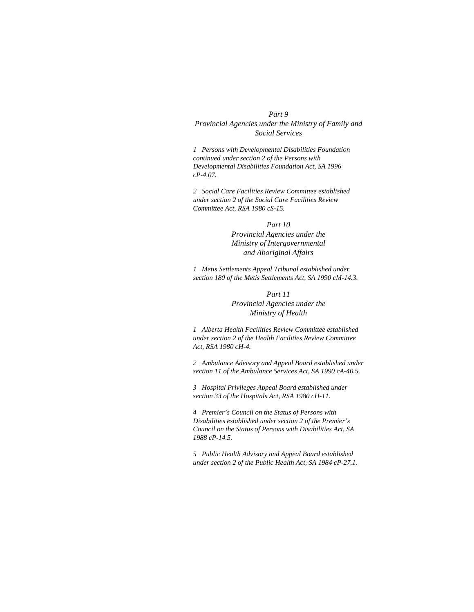#### *Part 9*

*Provincial Agencies under the Ministry of Family and Social Services*

*1 Persons with Developmental Disabilities Foundation continued under section 2 of the Persons with Developmental Disabilities Foundation Act, SA 1996 cP-4.07.* 

*2 Social Care Facilities Review Committee established under section 2 of the Social Care Facilities Review Committee Act, RSA 1980 cS-15.* 

#### *Part 10*

*Provincial Agencies under the Ministry of Intergovernmental and Aboriginal Affairs*

*1 Metis Settlements Appeal Tribunal established under section 180 of the Metis Settlements Act, SA 1990 cM-14.3.* 

# *Part 11 Provincial Agencies under the Ministry of Health*

*1 Alberta Health Facilities Review Committee established under section 2 of the Health Facilities Review Committee Act, RSA 1980 cH-4.* 

*2 Ambulance Advisory and Appeal Board established under section 11 of the Ambulance Services Act, SA 1990 cA-40.5.* 

*3 Hospital Privileges Appeal Board established under section 33 of the Hospitals Act, RSA 1980 cH-11.* 

*4 Premier's Council on the Status of Persons with Disabilities established under section 2 of the Premier's Council on the Status of Persons with Disabilities Act, SA 1988 cP-14.5.* 

*5 Public Health Advisory and Appeal Board established under section 2 of the Public Health Act, SA 1984 cP-27.1.*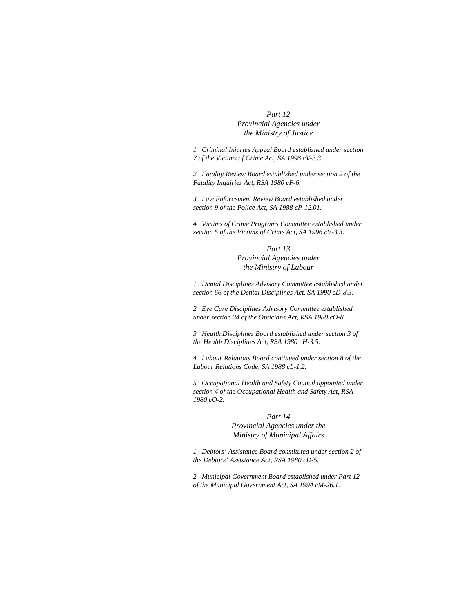# *Part 12 Provincial Agencies under the Ministry of Justice*

*1 Criminal Injuries Appeal Board established under section 7 of the Victims of Crime Act, SA 1996 cV-3.3.* 

*2 Fatality Review Board established under section 2 of the Fatality Inquiries Act, RSA 1980 cF-6.* 

*3 Law Enforcement Review Board established under section 9 of the Police Act, SA 1988 cP-12.01.* 

*4 Victims of Crime Programs Committee established under section 5 of the Victims of Crime Act, SA 1996 cV-3.3.* 

> *Part 13 Provincial Agencies under the Ministry of Labour*

*1 Dental Disciplines Advisory Committee established under section 66 of the Dental Disciplines Act, SA 1990 cD-8.5.* 

*2 Eye Care Disciplines Advisory Committee established under section 34 of the Opticians Act, RSA 1980 cO-8.* 

*3 Health Disciplines Board established under section 3 of the Health Disciplines Act, RSA 1980 cH-3.5.* 

*4 Labour Relations Board continued under section 8 of the Labour Relations Code, SA 1988 cL-1.2.* 

*5 Occupational Health and Safety Council appointed under section 4 of the Occupational Health and Safety Act, RSA 1980 cO-2.* 

### *Part 14*

*Provincial Agencies under the Ministry of Municipal Affairs*

*1 Debtors' Assistance Board constituted under section 2 of the Debtors' Assistance Act, RSA 1980 cD-5.* 

*2 Municipal Government Board established under Part 12 of the Municipal Government Act, SA 1994 cM-26.1.*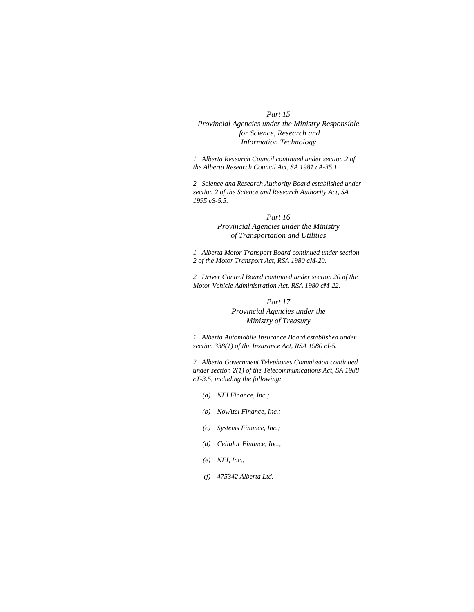#### *Part 15*

# *Provincial Agencies under the Ministry Responsible for Science, Research and Information Technology*

*1 Alberta Research Council continued under section 2 of the Alberta Research Council Act, SA 1981 cA-35.1.* 

*2 Science and Research Authority Board established under section 2 of the Science and Research Authority Act, SA 1995 cS-5.5.* 

# *Part 16 Provincial Agencies under the Ministry of Transportation and Utilities*

*1 Alberta Motor Transport Board continued under section 2 of the Motor Transport Act, RSA 1980 cM-20.* 

*2 Driver Control Board continued under section 20 of the Motor Vehicle Administration Act, RSA 1980 cM-22.* 

# *Part 17 Provincial Agencies under the Ministry of Treasury*

*1 Alberta Automobile Insurance Board established under section 338(1) of the Insurance Act, RSA 1980 cI-5.* 

*2 Alberta Government Telephones Commission continued under section 2(1) of the Telecommunications Act, SA 1988 cT-3.5, including the following:* 

- *(a) NFI Finance, Inc.;*
- *(b) NovAtel Finance, Inc.;*
- *(c) Systems Finance, Inc.;*
- *(d) Cellular Finance, Inc.;*
- *(e) NFI, Inc.;*
- *(f) 475342 Alberta Ltd.*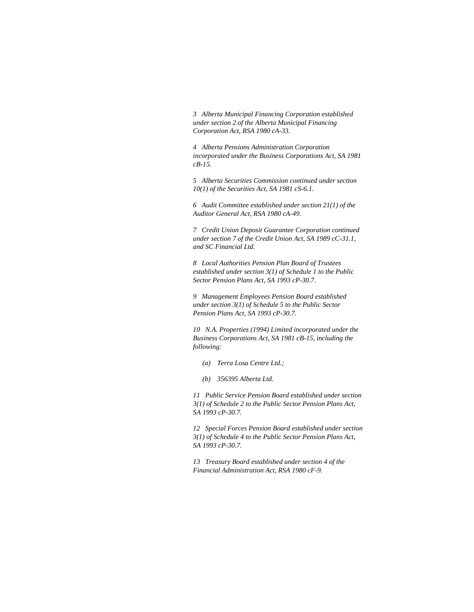*3 Alberta Municipal Financing Corporation established under section 2 of the Alberta Municipal Financing Corporation Act, RSA 1980 cA-33.* 

*4 Alberta Pensions Administration Corporation incorporated under the Business Corporations Act, SA 1981 cB-15.* 

*5 Alberta Securities Commission continued under section 10(1) of the Securities Act, SA 1981 cS-6.1.* 

*6 Audit Committee established under section 21(1) of the Auditor General Act, RSA 1980 cA-49.* 

*7 Credit Union Deposit Guarantee Corporation continued under section 7 of the Credit Union Act, SA 1989 cC-31.1, and SC Financial Ltd.* 

*8 Local Authorities Pension Plan Board of Trustees established under section 3(1) of Schedule 1 to the Public Sector Pension Plans Act, SA 1993 cP-30.7.* 

*9 Management Employees Pension Board established under section 3(1) of Schedule 5 to the Public Sector Pension Plans Act, SA 1993 cP-30.7.* 

*10 N.A. Properties (1994) Limited incorporated under the Business Corporations Act, SA 1981 cB-15, including the following:* 

- *(a) Terra Losa Centre Ltd.;*
- *(b) 356395 Alberta Ltd.*

*11 Public Service Pension Board established under section 3(1) of Schedule 2 to the Public Sector Pension Plans Act, SA 1993 cP-30.7.* 

*12 Special Forces Pension Board established under section 3(1) of Schedule 4 to the Public Sector Pension Plans Act, SA 1993 cP-30.7.* 

*13 Treasury Board established under section 4 of the Financial Administration Act, RSA 1980 cF-9.*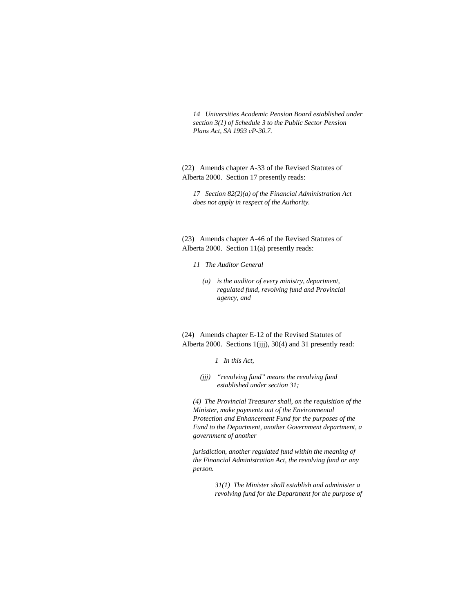*14 Universities Academic Pension Board established under section 3(1) of Schedule 3 to the Public Sector Pension Plans Act, SA 1993 cP-30.7.* 

(22) Amends chapter A-33 of the Revised Statutes of Alberta 2000. Section 17 presently reads:

*17 Section 82(2)(a) of the Financial Administration Act does not apply in respect of the Authority.* 

(23) Amends chapter A-46 of the Revised Statutes of Alberta 2000. Section 11(a) presently reads:

- *11 The Auditor General* 
	- *(a) is the auditor of every ministry, department, regulated fund, revolving fund and Provincial agency, and*

(24) Amends chapter E-12 of the Revised Statutes of Alberta 2000. Sections 1(jjj), 30(4) and 31 presently read:

*1 In this Act,* 

 *(jjj) "revolving fund" means the revolving fund established under section 31;* 

*(4) The Provincial Treasurer shall, on the requisition of the Minister, make payments out of the Environmental Protection and Enhancement Fund for the purposes of the Fund to the Department, another Government department, a government of another* 

*jurisdiction, another regulated fund within the meaning of the Financial Administration Act, the revolving fund or any person.* 

> *31(1) The Minister shall establish and administer a revolving fund for the Department for the purpose of*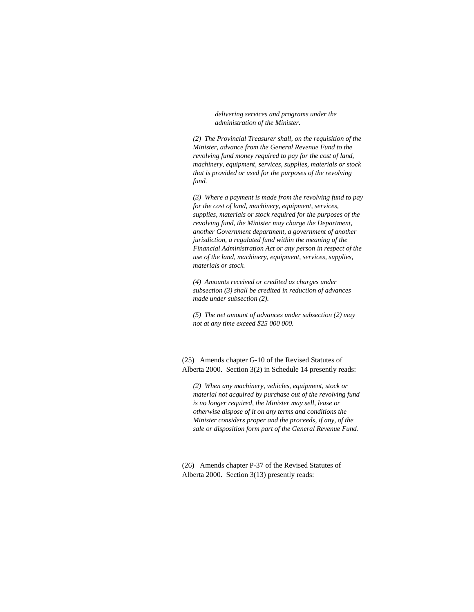*delivering services and programs under the administration of the Minister.* 

*(2) The Provincial Treasurer shall, on the requisition of the Minister, advance from the General Revenue Fund to the revolving fund money required to pay for the cost of land, machinery, equipment, services, supplies, materials or stock that is provided or used for the purposes of the revolving fund.* 

*(3) Where a payment is made from the revolving fund to pay for the cost of land, machinery, equipment, services, supplies, materials or stock required for the purposes of the revolving fund, the Minister may charge the Department, another Government department, a government of another jurisdiction, a regulated fund within the meaning of the Financial Administration Act or any person in respect of the use of the land, machinery, equipment, services, supplies, materials or stock.* 

*(4) Amounts received or credited as charges under subsection (3) shall be credited in reduction of advances made under subsection (2).* 

*(5) The net amount of advances under subsection (2) may not at any time exceed \$25 000 000.* 

(25) Amends chapter G-10 of the Revised Statutes of Alberta 2000. Section 3(2) in Schedule 14 presently reads:

*(2) When any machinery, vehicles, equipment, stock or material not acquired by purchase out of the revolving fund is no longer required, the Minister may sell, lease or otherwise dispose of it on any terms and conditions the Minister considers proper and the proceeds, if any, of the sale or disposition form part of the General Revenue Fund.* 

(26) Amends chapter P-37 of the Revised Statutes of Alberta 2000. Section 3(13) presently reads: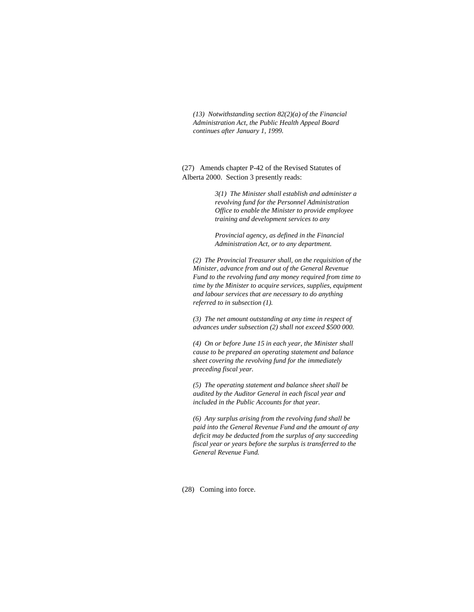*(13) Notwithstanding section 82(2)(a) of the Financial Administration Act, the Public Health Appeal Board continues after January 1, 1999.* 

(27) Amends chapter P-42 of the Revised Statutes of Alberta 2000. Section 3 presently reads:

> *3(1) The Minister shall establish and administer a revolving fund for the Personnel Administration Office to enable the Minister to provide employee training and development services to any*

*Provincial agency, as defined in the Financial Administration Act, or to any department.* 

*(2) The Provincial Treasurer shall, on the requisition of the Minister, advance from and out of the General Revenue Fund to the revolving fund any money required from time to time by the Minister to acquire services, supplies, equipment and labour services that are necessary to do anything referred to in subsection (1).* 

*(3) The net amount outstanding at any time in respect of advances under subsection (2) shall not exceed \$500 000.* 

*(4) On or before June 15 in each year, the Minister shall cause to be prepared an operating statement and balance sheet covering the revolving fund for the immediately preceding fiscal year.* 

*(5) The operating statement and balance sheet shall be audited by the Auditor General in each fiscal year and included in the Public Accounts for that year.* 

*(6) Any surplus arising from the revolving fund shall be paid into the General Revenue Fund and the amount of any deficit may be deducted from the surplus of any succeeding fiscal year or years before the surplus is transferred to the General Revenue Fund.* 

(28) Coming into force.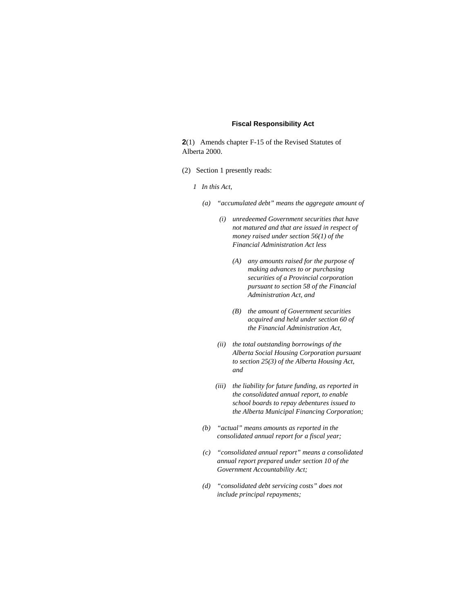#### **Fiscal Responsibility Act**

**2**(1) Amends chapter F-15 of the Revised Statutes of Alberta 2000.

- (2) Section 1 presently reads:
	- *1 In this Act,* 
		- *(a) "accumulated debt" means the aggregate amount of* 
			- *(i) unredeemed Government securities that have not matured and that are issued in respect of money raised under section 56(1) of the Financial Administration Act less* 
				- *(A) any amounts raised for the purpose of making advances to or purchasing securities of a Provincial corporation pursuant to section 58 of the Financial Administration Act, and*
				- *(B) the amount of Government securities acquired and held under section 60 of the Financial Administration Act,*
			- *(ii) the total outstanding borrowings of the Alberta Social Housing Corporation pursuant to section 25(3) of the Alberta Housing Act, and*
			- *(iii) the liability for future funding, as reported in the consolidated annual report, to enable school boards to repay debentures issued to the Alberta Municipal Financing Corporation;*
		- *(b) "actual" means amounts as reported in the consolidated annual report for a fiscal year;*
		- *(c) "consolidated annual report" means a consolidated annual report prepared under section 10 of the Government Accountability Act;*
		- *(d) "consolidated debt servicing costs" does not include principal repayments;*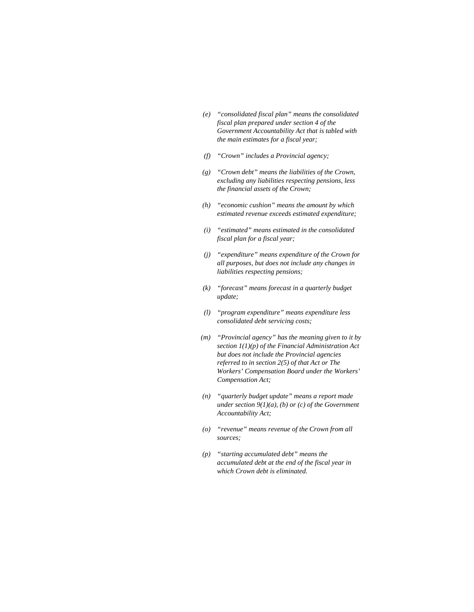- *(e) "consolidated fiscal plan" means the consolidated fiscal plan prepared under section 4 of the Government Accountability Act that is tabled with the main estimates for a fiscal year;*
- *(f) "Crown" includes a Provincial agency;*
- *(g) "Crown debt" means the liabilities of the Crown, excluding any liabilities respecting pensions, less the financial assets of the Crown;*
- *(h) "economic cushion" means the amount by which estimated revenue exceeds estimated expenditure;*
- *(i) "estimated" means estimated in the consolidated fiscal plan for a fiscal year;*
- *(j) "expenditure" means expenditure of the Crown for all purposes, but does not include any changes in liabilities respecting pensions;*
- *(k) "forecast" means forecast in a quarterly budget update;*
- *(l) "program expenditure" means expenditure less consolidated debt servicing costs;*
- *(m) "Provincial agency" has the meaning given to it by section 1(1)(p) of the Financial Administration Act but does not include the Provincial agencies referred to in section 2(5) of that Act or The Workers' Compensation Board under the Workers' Compensation Act;*
- *(n) "quarterly budget update" means a report made under section 9(1)(a), (b) or (c) of the Government Accountability Act;*
- *(o) "revenue" means revenue of the Crown from all sources;*
- *(p) "starting accumulated debt" means the accumulated debt at the end of the fiscal year in which Crown debt is eliminated.*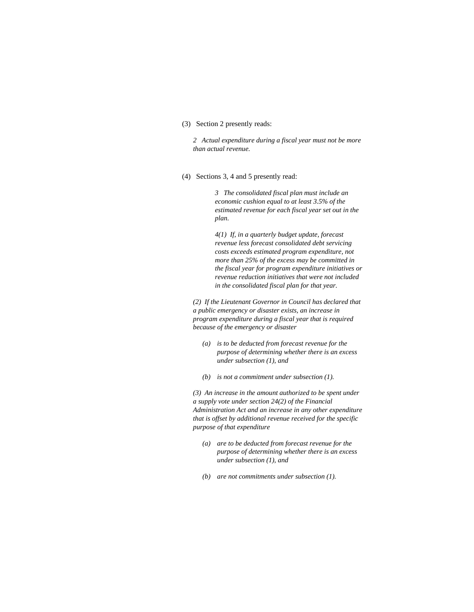### (3) Section 2 presently reads:

*2 Actual expenditure during a fiscal year must not be more than actual revenue.* 

### (4) Sections 3, 4 and 5 presently read:

*3 The consolidated fiscal plan must include an economic cushion equal to at least 3.5% of the estimated revenue for each fiscal year set out in the plan.* 

*4(1) If, in a quarterly budget update, forecast revenue less forecast consolidated debt servicing costs exceeds estimated program expenditure, not more than 25% of the excess may be committed in the fiscal year for program expenditure initiatives or revenue reduction initiatives that were not included in the consolidated fiscal plan for that year.* 

*(2) If the Lieutenant Governor in Council has declared that a public emergency or disaster exists, an increase in program expenditure during a fiscal year that is required because of the emergency or disaster* 

- *(a) is to be deducted from forecast revenue for the purpose of determining whether there is an excess under subsection (1), and*
- *(b) is not a commitment under subsection (1).*

*(3) An increase in the amount authorized to be spent under a supply vote under section 24(2) of the Financial Administration Act and an increase in any other expenditure that is offset by additional revenue received for the specific purpose of that expenditure* 

- *(a) are to be deducted from forecast revenue for the purpose of determining whether there is an excess under subsection (1), and*
- *(b) are not commitments under subsection (1).*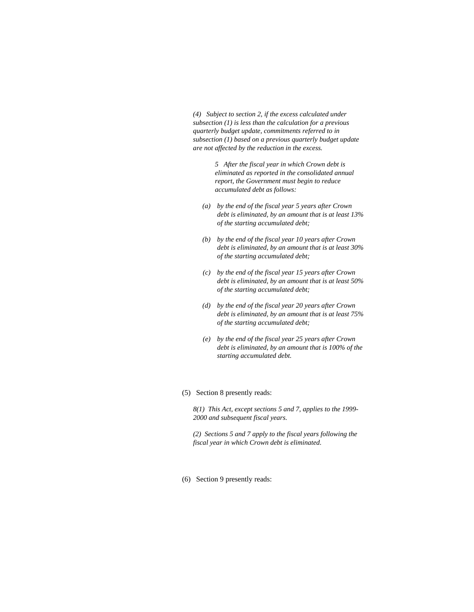*(4) Subject to section 2, if the excess calculated under subsection (1) is less than the calculation for a previous quarterly budget update, commitments referred to in subsection (1) based on a previous quarterly budget update are not affected by the reduction in the excess.* 

> *5 After the fiscal year in which Crown debt is eliminated as reported in the consolidated annual report, the Government must begin to reduce accumulated debt as follows:*

- *(a) by the end of the fiscal year 5 years after Crown debt is eliminated, by an amount that is at least 13% of the starting accumulated debt;*
- *(b) by the end of the fiscal year 10 years after Crown debt is eliminated, by an amount that is at least 30% of the starting accumulated debt;*
- *(c) by the end of the fiscal year 15 years after Crown debt is eliminated, by an amount that is at least 50% of the starting accumulated debt;*
- *(d) by the end of the fiscal year 20 years after Crown debt is eliminated, by an amount that is at least 75% of the starting accumulated debt;*
- *(e) by the end of the fiscal year 25 years after Crown debt is eliminated, by an amount that is 100% of the starting accumulated debt.*
- (5) Section 8 presently reads:

*8(1) This Act, except sections 5 and 7, applies to the 1999- 2000 and subsequent fiscal years.* 

*(2) Sections 5 and 7 apply to the fiscal years following the fiscal year in which Crown debt is eliminated.* 

(6) Section 9 presently reads: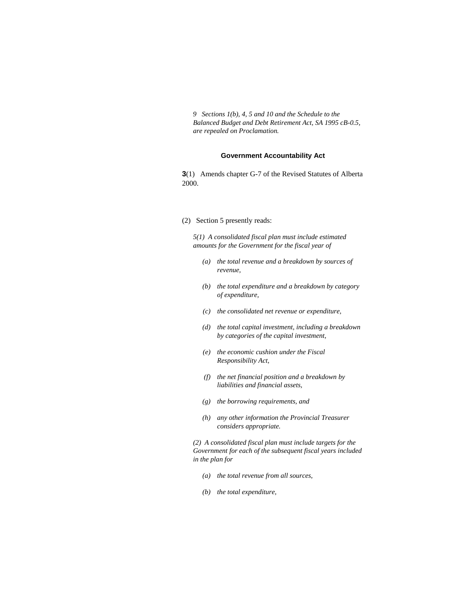*9 Sections 1(b), 4, 5 and 10 and the Schedule to the Balanced Budget and Debt Retirement Act, SA 1995 cB-0.5, are repealed on Proclamation.* 

### **Government Accountability Act**

**3**(1) Amends chapter G-7 of the Revised Statutes of Alberta 2000.

#### (2) Section 5 presently reads:

*5(1) A consolidated fiscal plan must include estimated amounts for the Government for the fiscal year of* 

- *(a) the total revenue and a breakdown by sources of revenue,*
- *(b) the total expenditure and a breakdown by category of expenditure,*
- *(c) the consolidated net revenue or expenditure,*
- *(d) the total capital investment, including a breakdown by categories of the capital investment,*
- *(e) the economic cushion under the Fiscal Responsibility Act,*
- *(f) the net financial position and a breakdown by liabilities and financial assets,*
- *(g) the borrowing requirements, and*
- *(h) any other information the Provincial Treasurer considers appropriate.*

*(2) A consolidated fiscal plan must include targets for the Government for each of the subsequent fiscal years included in the plan for* 

- *(a) the total revenue from all sources,*
- *(b) the total expenditure,*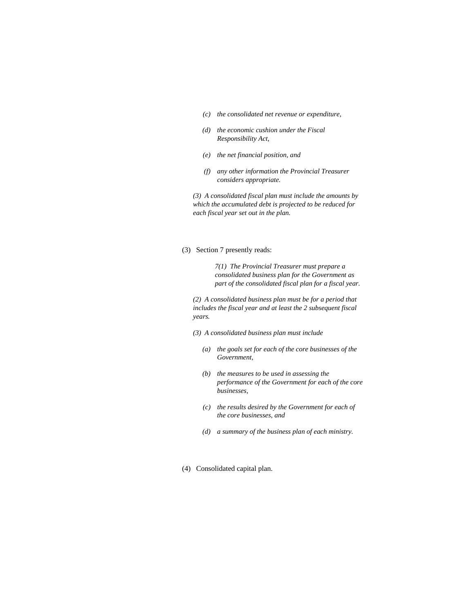- *(c) the consolidated net revenue or expenditure,*
- *(d) the economic cushion under the Fiscal Responsibility Act,*
- *(e) the net financial position, and*
- *(f) any other information the Provincial Treasurer considers appropriate.*

*(3) A consolidated fiscal plan must include the amounts by which the accumulated debt is projected to be reduced for each fiscal year set out in the plan.* 

(3) Section 7 presently reads:

*7(1) The Provincial Treasurer must prepare a consolidated business plan for the Government as part of the consolidated fiscal plan for a fiscal year.* 

*(2) A consolidated business plan must be for a period that includes the fiscal year and at least the 2 subsequent fiscal years.* 

*(3) A consolidated business plan must include* 

- *(a) the goals set for each of the core businesses of the Government,*
- *(b) the measures to be used in assessing the performance of the Government for each of the core businesses,*
- *(c) the results desired by the Government for each of the core businesses, and*
- *(d) a summary of the business plan of each ministry.*
- (4) Consolidated capital plan.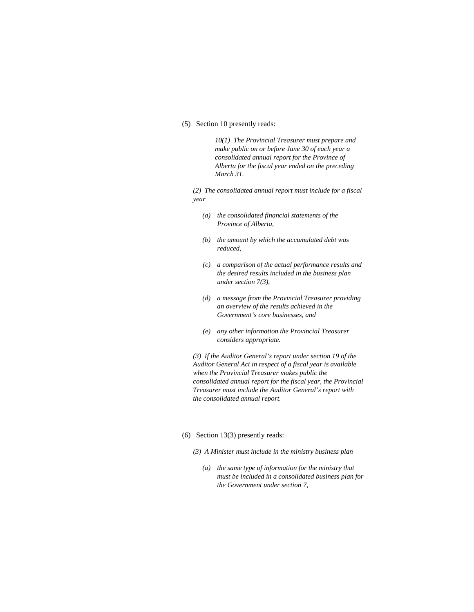(5) Section 10 presently reads:

*10(1) The Provincial Treasurer must prepare and make public on or before June 30 of each year a consolidated annual report for the Province of Alberta for the fiscal year ended on the preceding March 31.* 

*(2) The consolidated annual report must include for a fiscal year* 

- *(a) the consolidated financial statements of the Province of Alberta,*
- *(b) the amount by which the accumulated debt was reduced,*
- *(c) a comparison of the actual performance results and the desired results included in the business plan under section 7(3),*
- *(d) a message from the Provincial Treasurer providing an overview of the results achieved in the Government's core businesses, and*
- *(e) any other information the Provincial Treasurer considers appropriate.*

*(3) If the Auditor General's report under section 19 of the Auditor General Act in respect of a fiscal year is available when the Provincial Treasurer makes public the consolidated annual report for the fiscal year, the Provincial Treasurer must include the Auditor General's report with the consolidated annual report.* 

#### (6) Section 13(3) presently reads:

- *(3) A Minister must include in the ministry business plan* 
	- *(a) the same type of information for the ministry that must be included in a consolidated business plan for the Government under section 7,*